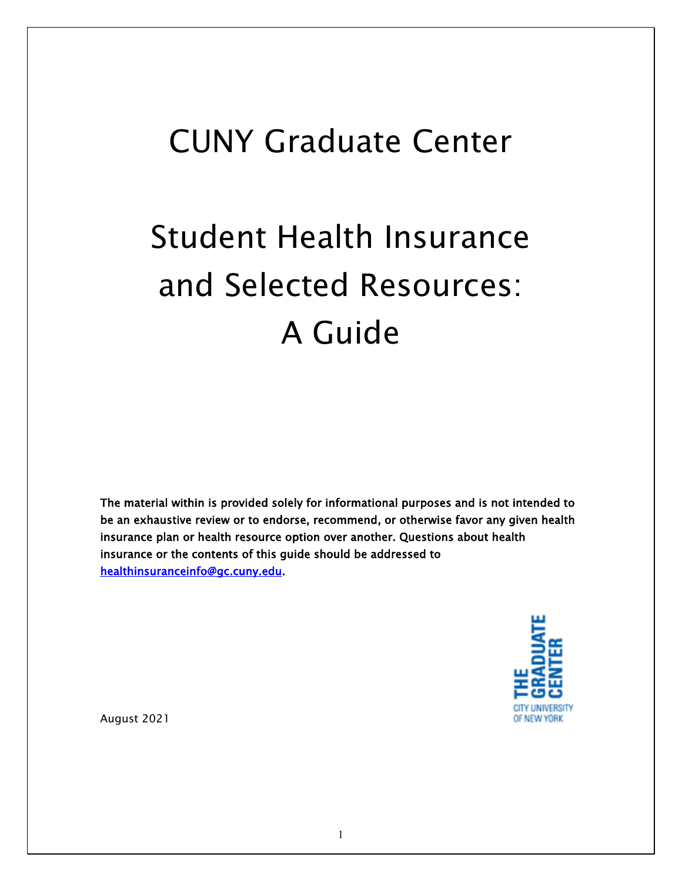## CUNY Graduate Center

# Student Health Insurance and Selected Resources: A Guide

The material within is provided solely for informational purposes and is not intended to be an exhaustive review or to endorse, recommend, or otherwise favor any given health insurance plan or health resource option over another. Questions about health insurance or the contents of this guide should be addressed to [healthinsuranceinfo@gc.cuny.edu.](mailto:healthinsuranceinfo@gc.cuny.edu)



August 2021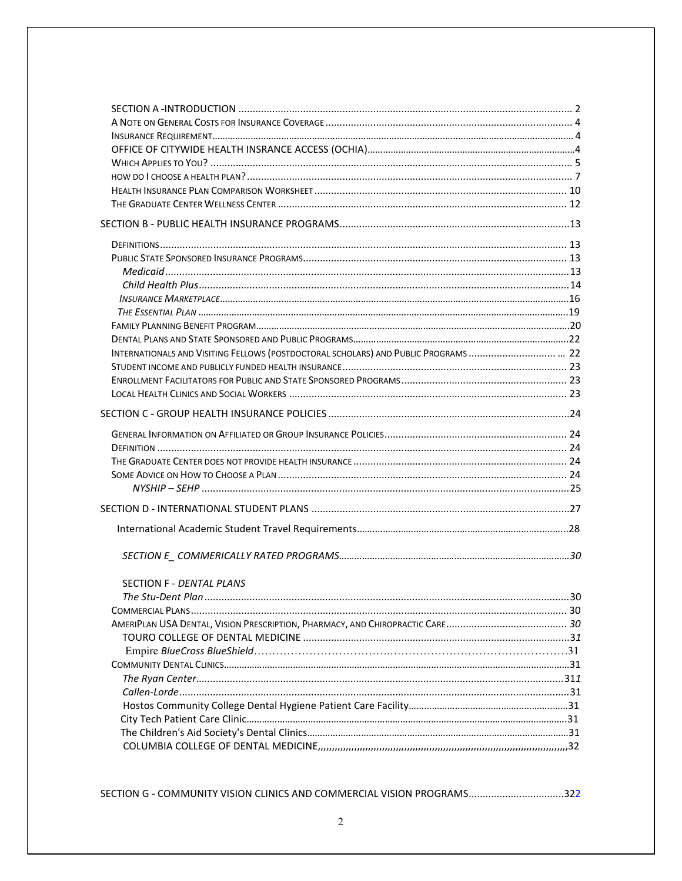| INTERNATIONALS AND VISITING FELLOWS (POSTDOCTORAL SCHOLARS) AND PUBLIC PROGRAMS  22                 |    |
|-----------------------------------------------------------------------------------------------------|----|
|                                                                                                     |    |
|                                                                                                     |    |
|                                                                                                     |    |
|                                                                                                     |    |
|                                                                                                     |    |
|                                                                                                     |    |
|                                                                                                     |    |
|                                                                                                     |    |
|                                                                                                     |    |
|                                                                                                     |    |
|                                                                                                     |    |
|                                                                                                     |    |
|                                                                                                     |    |
| <b>SECTION F - DENTAL PLANS</b>                                                                     |    |
|                                                                                                     | 30 |
|                                                                                                     |    |
|                                                                                                     |    |
|                                                                                                     |    |
|                                                                                                     |    |
|                                                                                                     |    |
|                                                                                                     |    |
|                                                                                                     |    |
|                                                                                                     |    |
|                                                                                                     |    |
|                                                                                                     |    |
| 22. COLUMBIA COLLEGE OF DENTAL MEDICINE, management and management and management and management of |    |
|                                                                                                     |    |

SECTION G - COMMUNITY VISION CLINICS AND COMMERCIAL VISION PROGRAMS................................322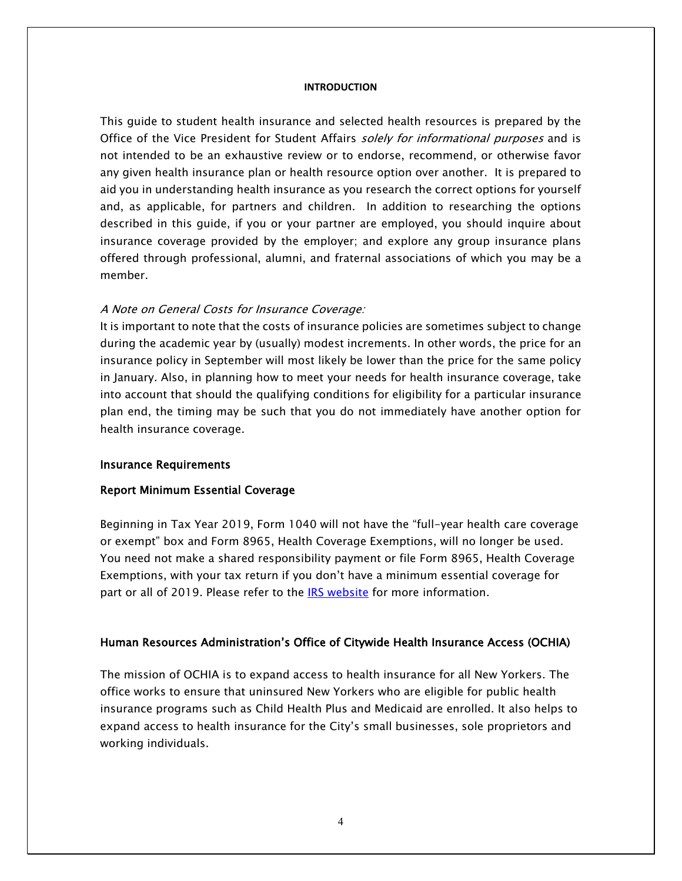#### **INTRODUCTION**

This guide to student health insurance and selected health resources is prepared by the Office of the Vice President for Student Affairs solely for informational purposes and is not intended to be an exhaustive review or to endorse, recommend, or otherwise favor any given health insurance plan or health resource option over another. It is prepared to aid you in understanding health insurance as you research the correct options for yourself and, as applicable, for partners and children. In addition to researching the options described in this guide, if you or your partner are employed, you should inquire about insurance coverage provided by the employer; and explore any group insurance plans offered through professional, alumni, and fraternal associations of which you may be a member.

#### A Note on General Costs for Insurance Coverage:

It is important to note that the costs of insurance policies are sometimes subject to change during the academic year by (usually) modest increments. In other words, the price for an insurance policy in September will most likely be lower than the price for the same policy in January. Also, in planning how to meet your needs for health insurance coverage, take into account that should the qualifying conditions for eligibility for a particular insurance plan end, the timing may be such that you do not immediately have another option for health insurance coverage.

#### Insurance Requirements

#### Report Minimum Essential Coverage

Beginning in Tax Year 2019, Form 1040 will not have the "full-year health care coverage or exempt" box and Form 8965, Health Coverage Exemptions, will no longer be used. You need not make a shared responsibility payment or file Form 8965, Health Coverage Exemptions, with your tax return if you don't have a minimum essential coverage for part or all of 2019. Please refer to the [IRS website](https://www.irs.gov/affordable-care-act/individuals-and-families/individual-shared-responsibility-provision) for more information.

#### Human Resources Administration's Office of Citywide Health Insurance Access (OCHIA)

The mission of OCHIA is to expand access to health insurance for all New Yorkers. The office works to ensure that uninsured New Yorkers who are eligible for public health insurance programs such as Child Health Plus and Medicaid are enrolled. It also helps to expand access to health insurance for the City's small businesses, sole proprietors and working individuals.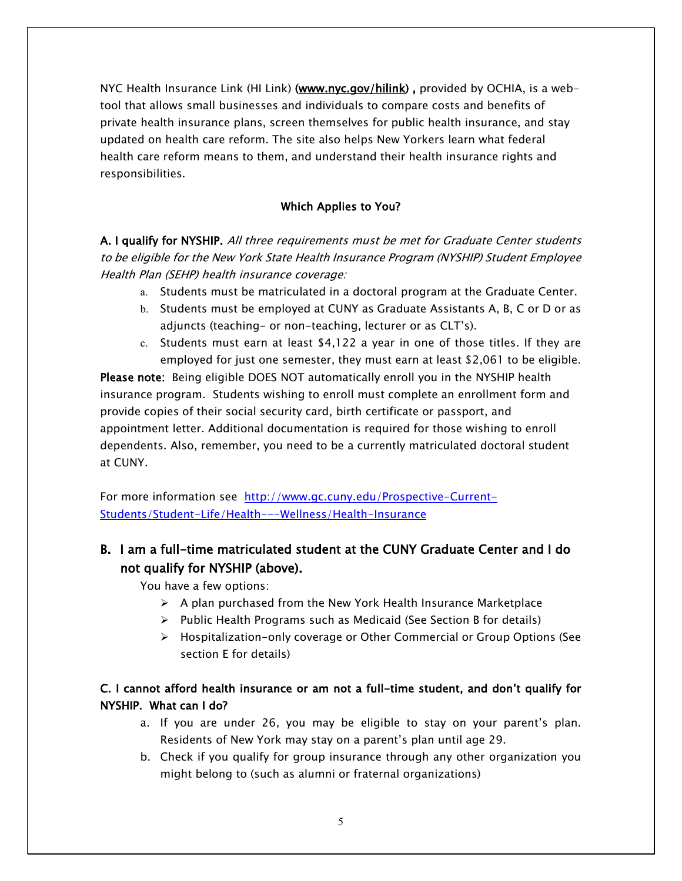NYC Health Insurance Link (HI Link) [\(www.nyc.gov/hilink\)](http://www.nyc.gov/hilink), provided by OCHIA, is a webtool that allows small businesses and individuals to compare costs and benefits of private health insurance plans, screen themselves for public health insurance, and stay updated on health care reform. The site also helps New Yorkers learn what federal health care reform means to them, and understand their health insurance rights and responsibilities.

#### Which Applies to You?

A. I qualify for NYSHIP. All three requirements must be met for Graduate Center students to be eligible for the New York State Health Insurance Program (NYSHIP) Student Employee Health Plan (SEHP) health insurance coverage:

- a. Students must be matriculated in a doctoral program at the Graduate Center.
- b. Students must be employed at CUNY as Graduate Assistants A, B, C or D or as adjuncts (teaching- or non-teaching, lecturer or as CLT's).
- c. Students must earn at least \$4,122 a year in one of those titles. If they are employed for just one semester, they must earn at least \$2,061 to be eligible.

Please note: Being eligible DOES NOT automatically enroll you in the NYSHIP health insurance program. Students wishing to enroll must complete an enrollment form and provide copies of their social security card, birth certificate or passport, and appointment letter. Additional documentation is required for those wishing to enroll dependents. Also, remember, you need to be a currently matriculated doctoral student at CUNY.

For more information see [http://www.gc.cuny.edu/Prospective-Current-](http://www.gc.cuny.edu/Prospective-Current-Students/Student-Life/Health---Wellness/Health-Insurance)[Students/Student-Life/Health---Wellness/Health-Insurance](http://www.gc.cuny.edu/Prospective-Current-Students/Student-Life/Health---Wellness/Health-Insurance)

## B. I am a full-time matriculated student at the CUNY Graduate Center and I do not qualify for NYSHIP (above).

You have a few options:

- $\triangleright$  A plan purchased from the New York Health Insurance Marketplace
- $\triangleright$  Public Health Programs such as Medicaid (See Section B for details)
- $\triangleright$  Hospitalization-only coverage or Other Commercial or Group Options (See section E for details)

## C. I cannot afford health insurance or am not a full-time student, and don't qualify for NYSHIP. What can I do?

- a. If you are under 26, you may be eligible to stay on your parent's plan. Residents of New York may stay on a parent's plan until age 29.
- b. Check if you qualify for group insurance through any other organization you might belong to (such as alumni or fraternal organizations)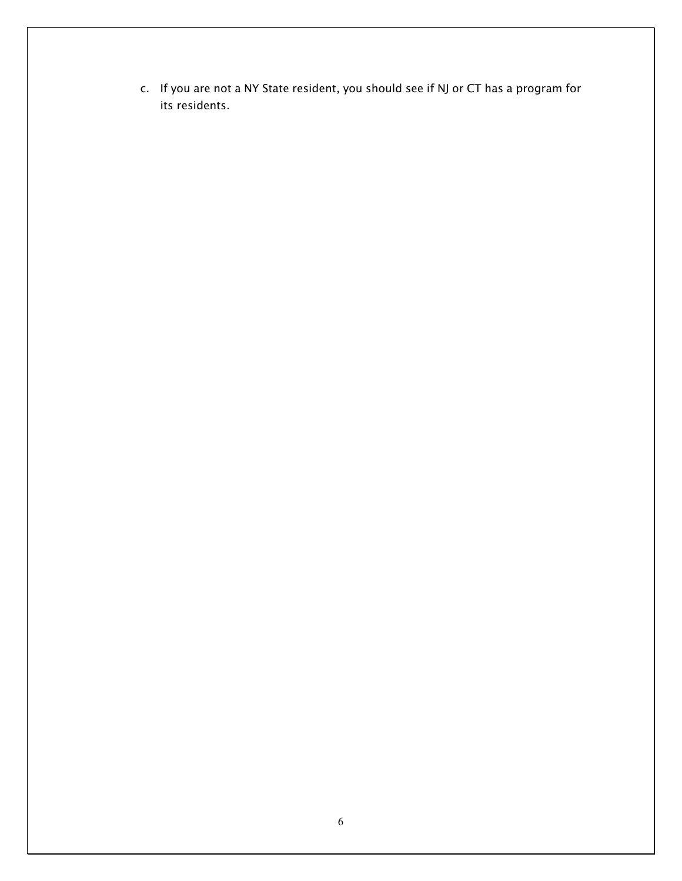c. If you are not a NY State resident, you should see if NJ or CT has a program for its residents.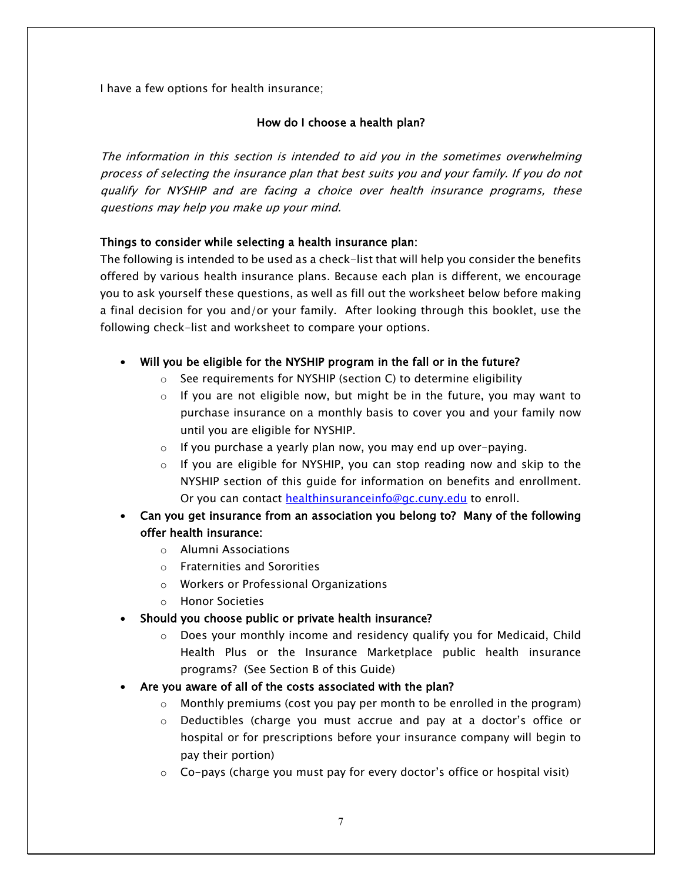I have a few options for health insurance;

#### How do I choose a health plan?

The information in this section is intended to aid you in the sometimes overwhelming process of selecting the insurance plan that best suits you and your family. If you do not qualify for NYSHIP and are facing a choice over health insurance programs, these questions may help you make up your mind.

#### Things to consider while selecting a health insurance plan:

The following is intended to be used as a check-list that will help you consider the benefits offered by various health insurance plans. Because each plan is different, we encourage you to ask yourself these questions, as well as fill out the worksheet below before making a final decision for you and/or your family. After looking through this booklet, use the following check-list and worksheet to compare your options.

#### • Will you be eligible for the NYSHIP program in the fall or in the future?

- o See requirements for NYSHIP (section C) to determine eligibility
- $\circ$  If you are not eligible now, but might be in the future, you may want to purchase insurance on a monthly basis to cover you and your family now until you are eligible for NYSHIP.
- $\circ$  If you purchase a yearly plan now, you may end up over-paying.
- $\circ$  If you are eligible for NYSHIP, you can stop reading now and skip to the NYSHIP section of this guide for information on benefits and enrollment. Or you can contact [healthinsuranceinfo@gc.cuny.edu](mailto:healthinsuranceinfo@gc.cuny.edu) to enroll.
- Can you get insurance from an association you belong to? Many of the following offer health insurance:
	- o Alumni Associations
	- o Fraternities and Sororities
	- o Workers or Professional Organizations
	- o Honor Societies
- Should you choose public or private health insurance?
	- $\circ$  Does your monthly income and residency qualify you for Medicaid, Child Health Plus or the Insurance Marketplace public health insurance programs? (See Section B of this Guide)
- Are you aware of all of the costs associated with the plan?
	- $\circ$  Monthly premiums (cost you pay per month to be enrolled in the program)
	- o Deductibles (charge you must accrue and pay at a doctor's office or hospital or for prescriptions before your insurance company will begin to pay their portion)
	- $\circ$  Co-pays (charge you must pay for every doctor's office or hospital visit)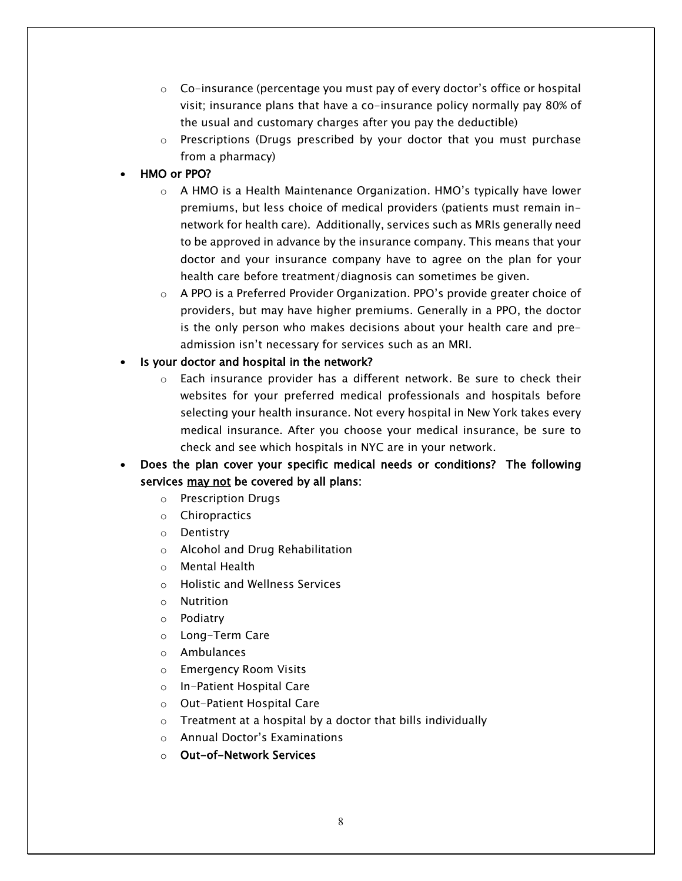- $\circ$  Co-insurance (percentage you must pay of every doctor's office or hospital visit; insurance plans that have a co-insurance policy normally pay 80% of the usual and customary charges after you pay the deductible)
- $\circ$  Prescriptions (Drugs prescribed by your doctor that you must purchase from a pharmacy)
- HMO or PPO?
	- $\circ$  A HMO is a Health Maintenance Organization. HMO's typically have lower premiums, but less choice of medical providers (patients must remain innetwork for health care). Additionally, services such as MRIs generally need to be approved in advance by the insurance company. This means that your doctor and your insurance company have to agree on the plan for your health care before treatment/diagnosis can sometimes be given.
	- $\circ$  A PPO is a Preferred Provider Organization. PPO's provide greater choice of providers, but may have higher premiums. Generally in a PPO, the doctor is the only person who makes decisions about your health care and preadmission isn't necessary for services such as an MRI.
- Is your doctor and hospital in the network?
	- $\circ$  Each insurance provider has a different network. Be sure to check their websites for your preferred medical professionals and hospitals before selecting your health insurance. Not every hospital in New York takes every medical insurance. After you choose your medical insurance, be sure to check and see which hospitals in NYC are in your network.
- Does the plan cover your specific medical needs or conditions? The following services may not be covered by all plans:
	- o Prescription Drugs
	- o Chiropractics
	- o Dentistry
	- o Alcohol and Drug Rehabilitation
	- o Mental Health
	- o Holistic and Wellness Services
	- o Nutrition
	- o Podiatry
	- o Long-Term Care
	- o Ambulances
	- o Emergency Room Visits
	- o In-Patient Hospital Care
	- o Out-Patient Hospital Care
	- o Treatment at a hospital by a doctor that bills individually
	- o Annual Doctor's Examinations
	- o Out-of-Network Services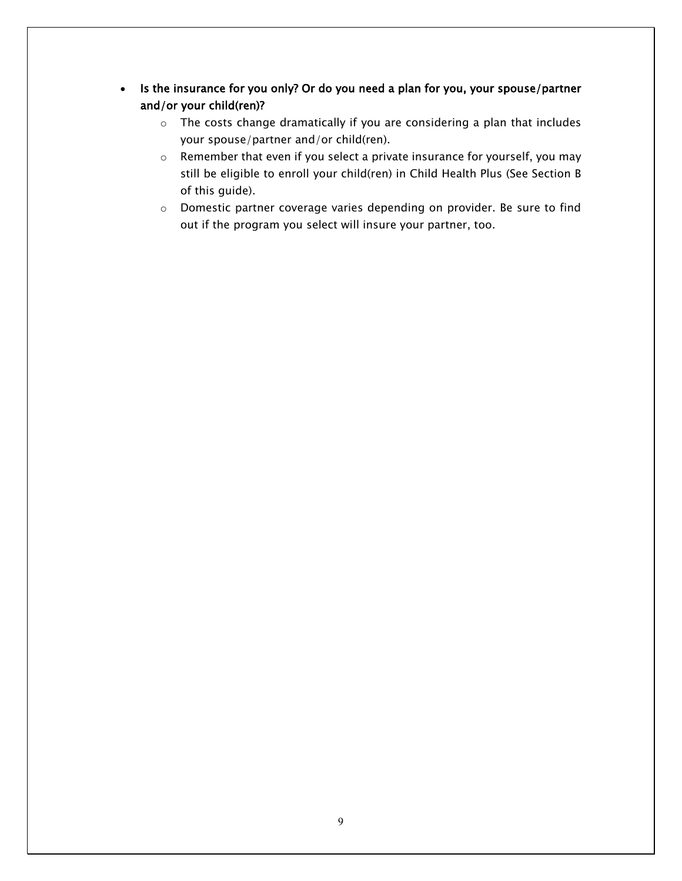- Is the insurance for you only? Or do you need a plan for you, your spouse/partner and/or your child(ren)?
	- o The costs change dramatically if you are considering a plan that includes your spouse/partner and/or child(ren).
	- o Remember that even if you select a private insurance for yourself, you may still be eligible to enroll your child(ren) in Child Health Plus (See Section B of this guide).
	- o Domestic partner coverage varies depending on provider. Be sure to find out if the program you select will insure your partner, too.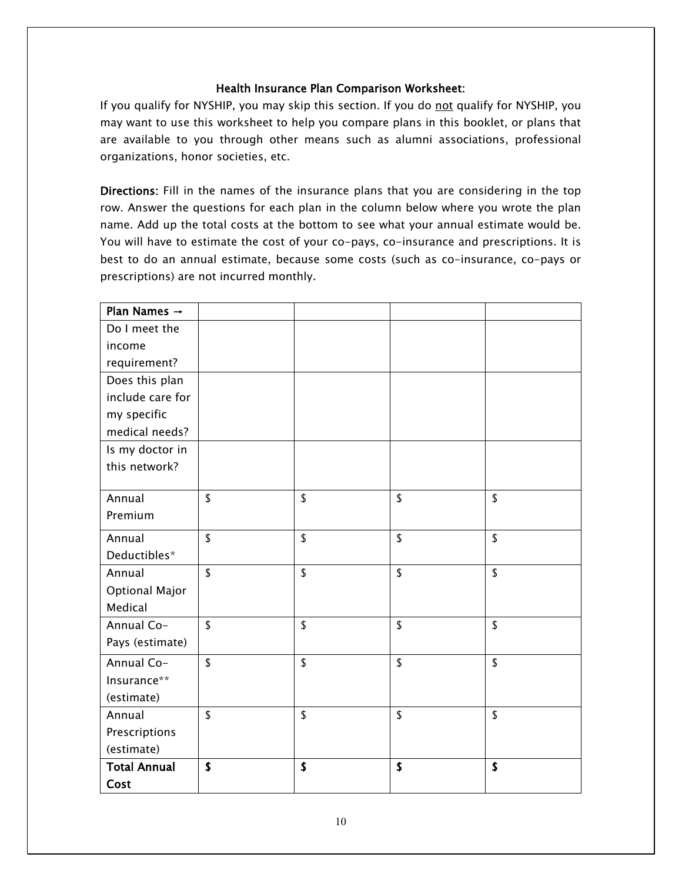#### Health Insurance Plan Comparison Worksheet:

If you qualify for NYSHIP, you may skip this section. If you do not qualify for NYSHIP, you may want to use this worksheet to help you compare plans in this booklet, or plans that are available to you through other means such as alumni associations, professional organizations, honor societies, etc.

Directions: Fill in the names of the insurance plans that you are considering in the top row. Answer the questions for each plan in the column below where you wrote the plan name. Add up the total costs at the bottom to see what your annual estimate would be. You will have to estimate the cost of your co-pays, co-insurance and prescriptions. It is best to do an annual estimate, because some costs (such as co-insurance, co-pays or prescriptions) are not incurred monthly.

| Plan Names $\rightarrow$ |                           |          |    |
|--------------------------|---------------------------|----------|----|
| Do I meet the            |                           |          |    |
| income                   |                           |          |    |
| requirement?             |                           |          |    |
| Does this plan           |                           |          |    |
| include care for         |                           |          |    |
| my specific              |                           |          |    |
| medical needs?           |                           |          |    |
| Is my doctor in          |                           |          |    |
| this network?            |                           |          |    |
|                          |                           |          |    |
| Annual                   | $\sqrt{2}$                | \$<br>\$ | \$ |
| Premium                  |                           |          |    |
| Annual                   | \$                        | \$<br>\$ | \$ |
| Deductibles*             |                           |          |    |
| Annual                   | $\sqrt{2}$                | \$<br>\$ | \$ |
| <b>Optional Major</b>    |                           |          |    |
| Medical                  |                           |          |    |
| Annual Co-               | $\sqrt{2}$                | \$<br>\$ | \$ |
| Pays (estimate)          |                           |          |    |
| Annual Co-               | $\sqrt{2}$                | \$<br>\$ | \$ |
| Insurance**              |                           |          |    |
| (estimate)               |                           |          |    |
| Annual                   | \$                        | \$<br>\$ | \$ |
| Prescriptions            |                           |          |    |
| (estimate)               |                           |          |    |
| <b>Total Annual</b>      | $\boldsymbol{\mathsf{s}}$ | \$<br>\$ | \$ |
| Cost                     |                           |          |    |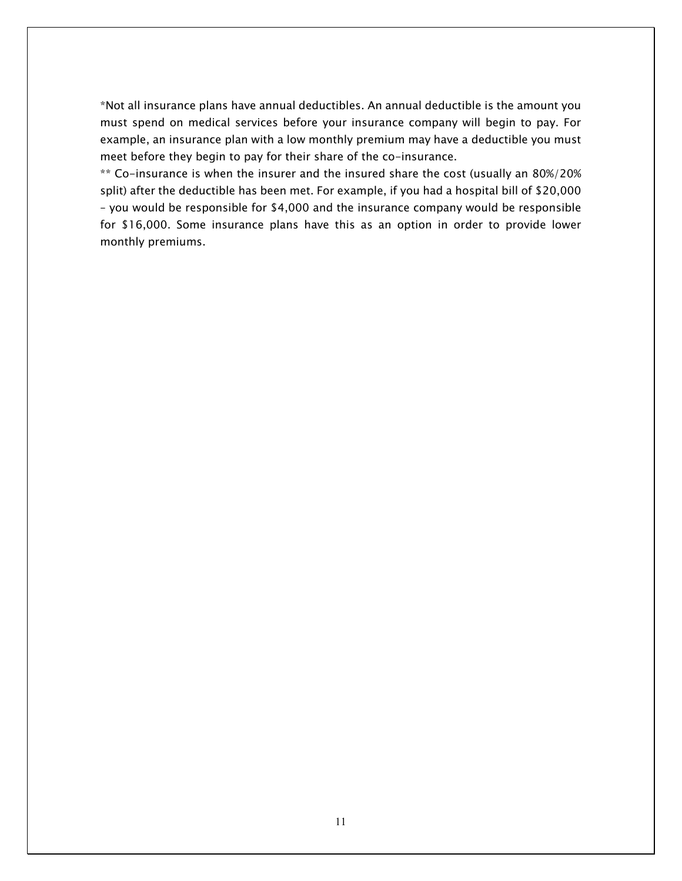\*Not all insurance plans have annual deductibles. An annual deductible is the amount you must spend on medical services before your insurance company will begin to pay. For example, an insurance plan with a low monthly premium may have a deductible you must meet before they begin to pay for their share of the co-insurance.

\*\* Co-insurance is when the insurer and the insured share the cost (usually an 80%/20% split) after the deductible has been met. For example, if you had a hospital bill of \$20,000 – you would be responsible for \$4,000 and the insurance company would be responsible for \$16,000. Some insurance plans have this as an option in order to provide lower monthly premiums.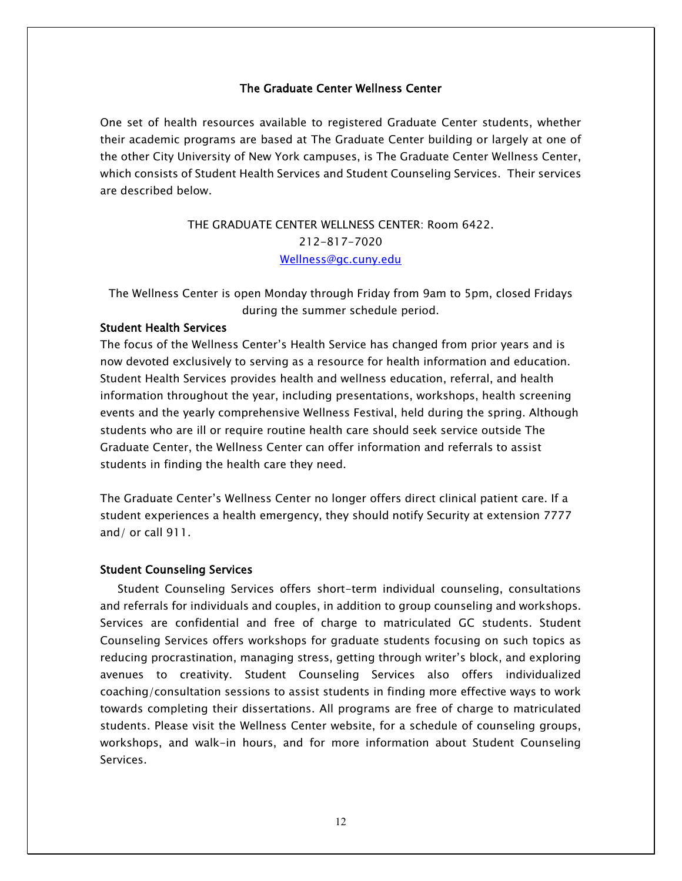#### The Graduate Center Wellness Center

One set of health resources available to registered Graduate Center students, whether their academic programs are based at The Graduate Center building or largely at one of the other City University of New York campuses, is The Graduate Center Wellness Center, which consists of Student Health Services and Student Counseling Services. Their services are described below.

## THE GRADUATE CENTER WELLNESS CENTER: Room 6422. 212-817-7020 [Wellness@gc.cuny.edu](mailto:Wellness@gc.cuny.edu)

The Wellness Center is open Monday through Friday from 9am to 5pm, closed Fridays during the summer schedule period.

#### Student Health Services

The focus of the Wellness Center's Health Service has changed from prior years and is now devoted exclusively to serving as a resource for health information and education. Student Health Services provides health and wellness education, referral, and health information throughout the year, including presentations, workshops, health screening events and the yearly comprehensive Wellness Festival, held during the spring. Although students who are ill or require routine health care should seek service outside The Graduate Center, the Wellness Center can offer information and referrals to assist students in finding the health care they need.

The Graduate Center's Wellness Center no longer offers direct clinical patient care. If a student experiences a health emergency, they should notify Security at extension 7777 and/ or call 911.

#### Student Counseling Services

 Student Counseling Services offers short-term individual counseling, consultations and referrals for individuals and couples, in addition to group counseling and workshops. Services are confidential and free of charge to matriculated GC students. Student Counseling Services offers workshops for graduate students focusing on such topics as reducing procrastination, managing stress, getting through writer's block, and exploring avenues to creativity. Student Counseling Services also offers individualized coaching/consultation sessions to assist students in finding more effective ways to work towards completing their dissertations. All programs are free of charge to matriculated students. Please visit the Wellness Center website, for a schedule of counseling groups, workshops, and walk-in hours, and for more information about Student Counseling Services.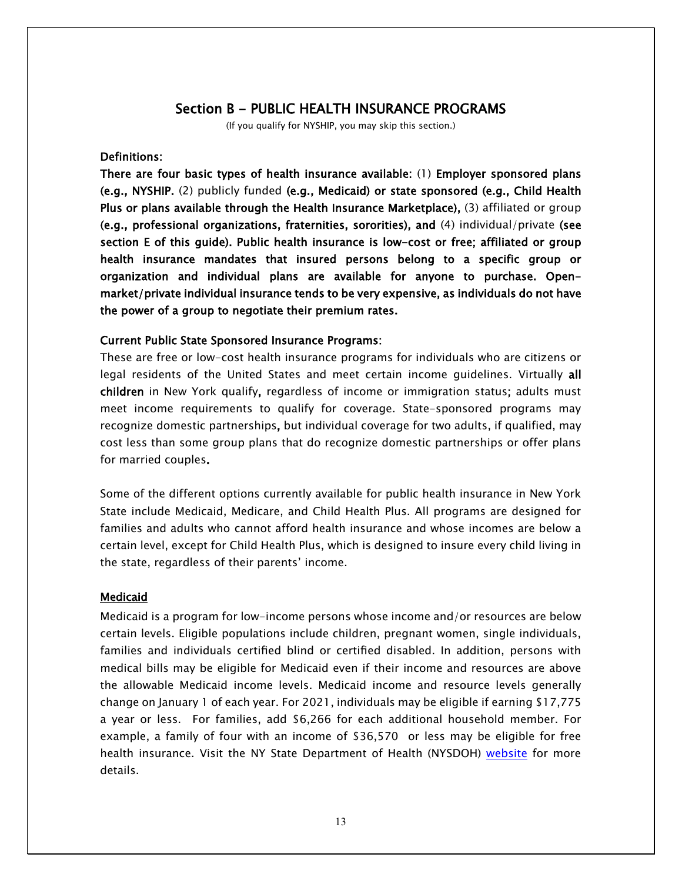#### Section B - PUBLIC HEALTH INSURANCE PROGRAMS

(If you qualify for NYSHIP, you may skip this section.)

#### Definitions:

There are four basic types of health insurance available: (1) Employer sponsored plans (e.g., NYSHIP. (2) publicly funded (e.g., Medicaid) or state sponsored (e.g., Child Health Plus or plans available through the Health Insurance Marketplace), (3) affiliated or group (e.g., professional organizations, fraternities, sororities), and  $(4)$  individual/private (see section E of this guide). Public health insurance is low-cost or free; affiliated or group health insurance mandates that insured persons belong to a specific group or organization and individual plans are available for anyone to purchase. Openmarket/private individual insurance tends to be very expensive, as individuals do not have the power of a group to negotiate their premium rates.

#### Current Public State Sponsored Insurance Programs:

These are free or low-cost health insurance programs for individuals who are citizens or legal residents of the United States and meet certain income guidelines. Virtually all children in New York qualify, regardless of income or immigration status; adults must meet income requirements to qualify for coverage. State-sponsored programs may recognize domestic partnerships, but individual coverage for two adults, if qualified, may cost less than some group plans that do recognize domestic partnerships or offer plans for married couples.

Some of the different options currently available for public health insurance in New York State include Medicaid, Medicare, and Child Health Plus. All programs are designed for families and adults who cannot afford health insurance and whose incomes are below a certain level, except for Child Health Plus, which is designed to insure every child living in the state, regardless of their parents' income.

#### Medicaid

Medicaid is a program for low-income persons whose income and/or resources are below certain levels. Eligible populations include children, pregnant women, single individuals, families and individuals certified blind or certified disabled. In addition, persons with medical bills may be eligible for Medicaid even if their income and resources are above the allowable Medicaid income levels. Medicaid income and resource levels generally change on January 1 of each year. For 2021, individuals may be eligible if earning \$17,775 a year or less. For families, add \$6,266 for each additional household member. For example, a family of four with an income of \$36,570 or less may be eligible for free health insurance. Visit the NY State Department of Health (NYSDOH) [website](https://www.health.ny.gov/health_care/medicaid/) for more details.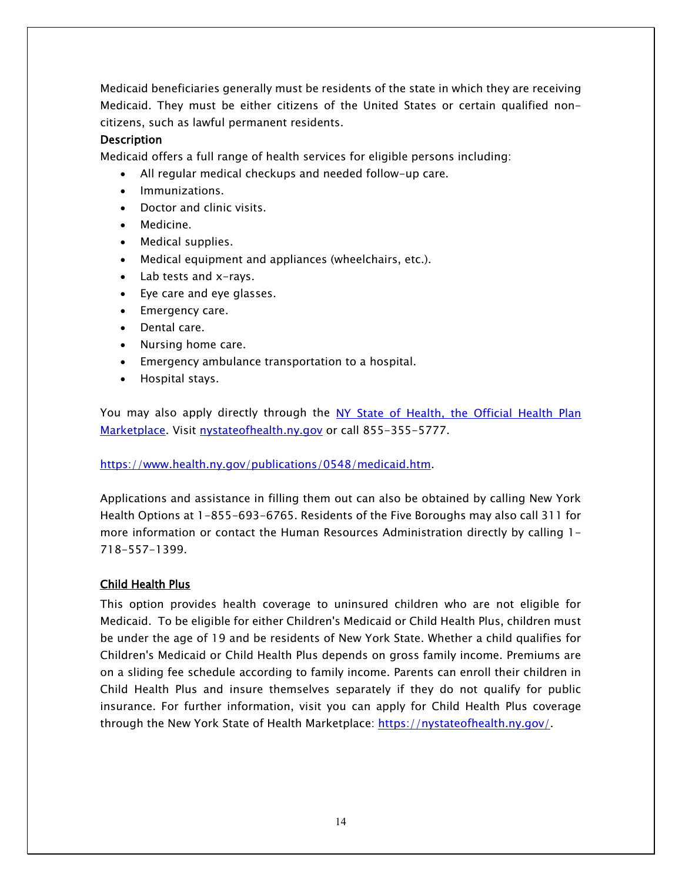Medicaid beneficiaries generally must be residents of the state in which they are receiving Medicaid. They must be either citizens of the United States or certain qualified noncitizens, such as lawful permanent residents.

#### **Description**

Medicaid offers a full range of health services for eligible persons including:

- All regular medical checkups and needed follow-up care.
- Immunizations.
- Doctor and clinic visits.
- Medicine.
- Medical supplies.
- Medical equipment and appliances (wheelchairs, etc.).
- Lab tests and x-rays.
- Eye care and eye glasses.
- Emergency care.
- Dental care.
- Nursing home care.
- Emergency ambulance transportation to a hospital.
- Hospital stays.

You may also apply directly through the [NY State of Health, the Official Health Plan](http://nystateofhealth.ny.gov/)  [Marketplace.](http://nystateofhealth.ny.gov/) Visit [nystateofhealth.ny.gov](http://nystateofhealth.ny.gov/) or call 855-355-5777.

#### [https://www.health.ny.gov/publications/0548/medicaid.htm.](https://www.health.ny.gov/publications/0548/medicaid.htm)

Applications and assistance in filling them out can also be obtained by calling New York Health Options at 1-855-693-6765. Residents of the Five Boroughs may also call 311 for more information or contact the Human Resources Administration directly by calling 1- 718-557-1399.

## Child Health Plus

This option provides health coverage to uninsured children who are not eligible for Medicaid. To be eligible for either Children's Medicaid or Child Health Plus, children must be under the age of 19 and be residents of New York State. Whether a child qualifies for Children's Medicaid or Child Health Plus depends on gross family income. Premiums are on a sliding fee schedule according to family income. Parents can enroll their children in Child Health Plus and insure themselves separately if they do not qualify for public insurance. For further information, visit you can apply for Child Health Plus coverage through the New York State of Health Marketplace: [https://nystateofhealth.ny.gov/.](https://nystateofhealth.ny.gov/)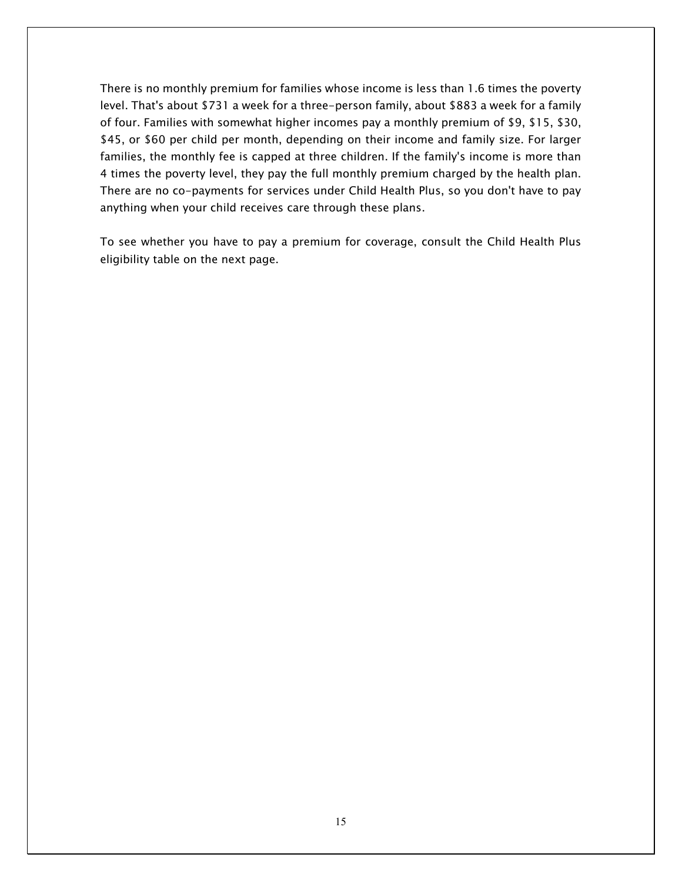There is no monthly premium for families whose income is less than 1.6 times the poverty level. That's about \$731 a week for a three-person family, about \$883 a week for a family of four. Families with somewhat higher incomes pay a monthly premium of \$9, \$15, \$30, \$45, or \$60 per child per month, depending on their income and family size. For larger families, the monthly fee is capped at three children. If the family's income is more than 4 times the poverty level, they pay the full monthly premium charged by the health plan. There are no co-payments for services under Child Health Plus, so you don't have to pay anything when your child receives care through these plans.

To see whether you have to pay a premium for coverage, consult the Child Health Plus eligibility table on the next page.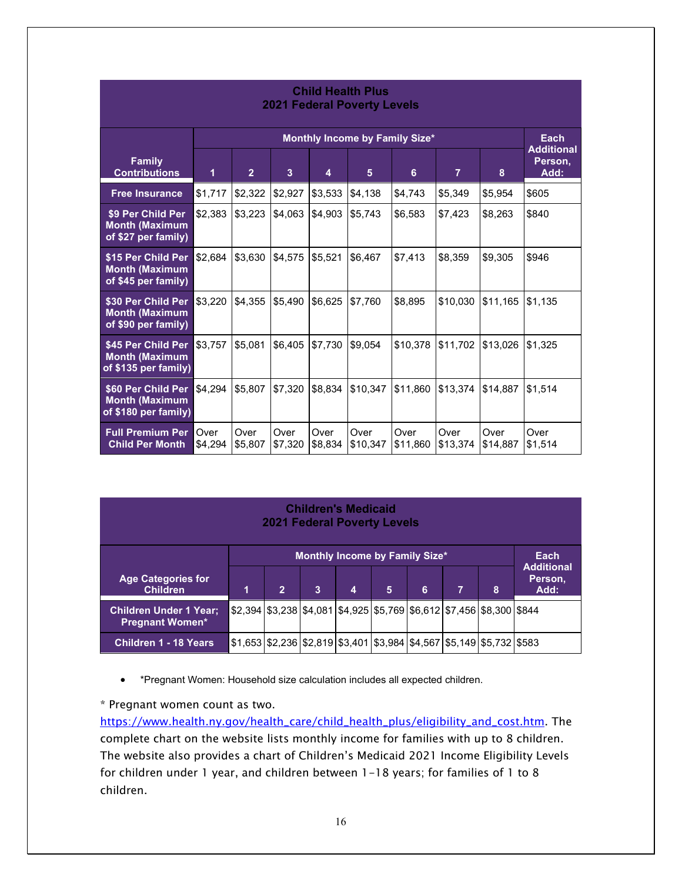| <b>Child Health Plus</b><br><b>2021 Federal Poverty Levels</b>      |                                |                 |                 |                 |                  |                  |                  |                  |                                      |
|---------------------------------------------------------------------|--------------------------------|-----------------|-----------------|-----------------|------------------|------------------|------------------|------------------|--------------------------------------|
|                                                                     | Monthly Income by Family Size* |                 |                 |                 |                  |                  |                  |                  | Each                                 |
| <b>Family</b><br><b>Contributions</b>                               | 1                              | $\overline{2}$  | 3               | 4               | 5                | 6                | $\overline{7}$   | 8                | <b>Additional</b><br>Person,<br>Add: |
| <b>Free Insurance</b>                                               | \$1,717                        | \$2,322         | \$2,927         | \$3,533         | \$4,138          | \$4,743          | \$5,349          | \$5,954          | \$605                                |
| \$9 Per Child Per<br><b>Month (Maximum</b><br>of \$27 per family)   | \$2,383                        | \$3,223         | \$4,063         | \$4,903         | \$5,743          | \$6,583          | \$7,423          | \$8,263          | \$840                                |
| \$15 Per Child Per<br><b>Month (Maximum</b><br>of \$45 per family)  | \$2,684                        | \$3,630         | \$4,575         | \$5,521         | \$6,467          | \$7,413          | \$8,359          | \$9,305          | \$946                                |
| \$30 Per Child Per<br><b>Month (Maximum</b><br>of \$90 per family)  | \$3,220                        | \$4,355         | \$5,490         | \$6,625         | \$7,760          | \$8,895          | \$10,030         | \$11,165         | \$1,135                              |
| \$45 Per Child Per<br><b>Month (Maximum</b><br>of \$135 per family) | \$3,757                        | \$5,081         | \$6,405         | \$7,730         | \$9,054          | \$10,378         | \$11,702         | \$13,026         | \$1,325                              |
| \$60 Per Child Per<br><b>Month (Maximum</b><br>of \$180 per family) | \$4,294                        | \$5,807         | \$7,320         | \$8,834         | \$10,347         | \$11,860         | \$13,374         | \$14,887         | \$1,514                              |
| <b>Full Premium Per</b><br><b>Child Per Month</b>                   | Over<br>\$4,294                | Over<br>\$5,807 | Over<br>\$7,320 | Over<br>\$8,834 | Over<br>\$10,347 | Over<br>\$11,860 | Over<br>\$13,374 | Over<br>\$14,887 | Over<br>\$1,514                      |

| <b>Children's Medicaid</b><br><b>2021 Federal Poverty Levels</b> |                                               |                |                                                                                |   |   |   |                |   |                                      |
|------------------------------------------------------------------|-----------------------------------------------|----------------|--------------------------------------------------------------------------------|---|---|---|----------------|---|--------------------------------------|
|                                                                  | <b>Monthly Income by Family Size*</b><br>Each |                |                                                                                |   |   |   |                |   |                                      |
| <b>Age Categories for</b><br><b>Children</b>                     | 1                                             | $\overline{2}$ | 3                                                                              | 4 | 5 | 6 | $\overline{7}$ | 8 | <b>Additional</b><br>Person,<br>Add: |
| <b>Children Under 1 Year:</b><br><b>Pregnant Women*</b>          |                                               |                | $$2,394$ $$3,238$ $$4,081$ $$4,925$ $$5,769$ $$6,612$ $$7,456$ $$8,300$ $$844$ |   |   |   |                |   |                                      |
| <b>Children 1 - 18 Years</b>                                     |                                               |                | $$1,653$ $$2,236$ $$2,819$ $$3,401$ $$3,984$ $$4,567$ $$5,149$ $$5,732$ $$583$ |   |   |   |                |   |                                      |

• \*Pregnant Women: Household size calculation includes all expected children.

\* Pregnant women count as two.

[https://www.health.ny.gov/health\\_care/child\\_health\\_plus/eligibility\\_and\\_cost.htm](https://www.health.ny.gov/health_care/child_health_plus/eligibility_and_cost.htm). The complete chart on the website lists monthly income for families with up to 8 children. The website also provides a chart of Children's Medicaid 2021 Income Eligibility Levels for children under 1 year, and children between 1-18 years; for families of 1 to 8 children.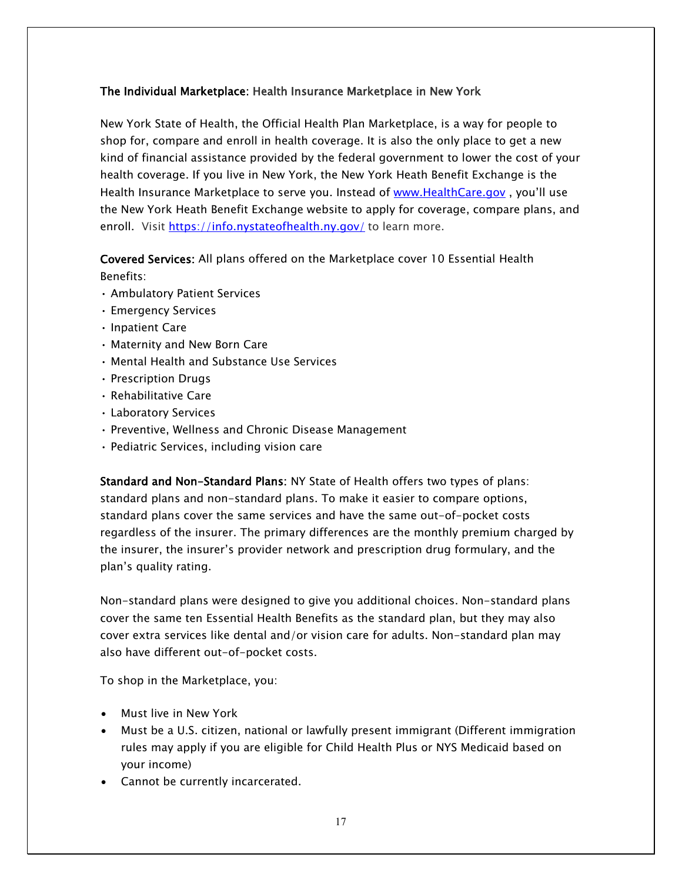#### The Individual Marketplace: Health Insurance Marketplace in New York

New York State of Health, the Official Health Plan Marketplace, is a way for people to shop for, compare and enroll in health coverage. It is also the only place to get a new kind of financial assistance provided by the federal government to lower the cost of your health coverage. If you live in New York, the New York Heath Benefit Exchange is the Health Insurance Marketplace to serve you. Instead of [www.HealthCare.gov](http://www.healthcare.gov/), you'll use the New York Heath Benefit Exchange website to apply for coverage, compare plans, and enroll. Visit<https://info.nystateofhealth.ny.gov/> to learn more.

## Covered Services: All plans offered on the Marketplace cover 10 Essential Health Benefits:

- Ambulatory Patient Services
- Emergency Services
- Inpatient Care
- Maternity and New Born Care
- Mental Health and Substance Use Services
- Prescription Drugs
- Rehabilitative Care
- Laboratory Services
- Preventive, Wellness and Chronic Disease Management
- Pediatric Services, including vision care

Standard and Non-Standard Plans: NY State of Health offers two types of plans: standard plans and non-standard plans. To make it easier to compare options, standard plans cover the same services and have the same out-of-pocket costs regardless of the insurer. The primary differences are the monthly premium charged by the insurer, the insurer's provider network and prescription drug formulary, and the plan's quality rating.

Non-standard plans were designed to give you additional choices. Non-standard plans cover the same ten Essential Health Benefits as the standard plan, but they may also cover extra services like dental and/or vision care for adults. Non-standard plan may also have different out-of-pocket costs.

To shop in the Marketplace, you:

- Must live in New York
- Must be a U.S. citizen, national or lawfully present immigrant (Different immigration rules may apply if you are eligible for Child Health Plus or NYS Medicaid based on your income)
- Cannot be currently incarcerated.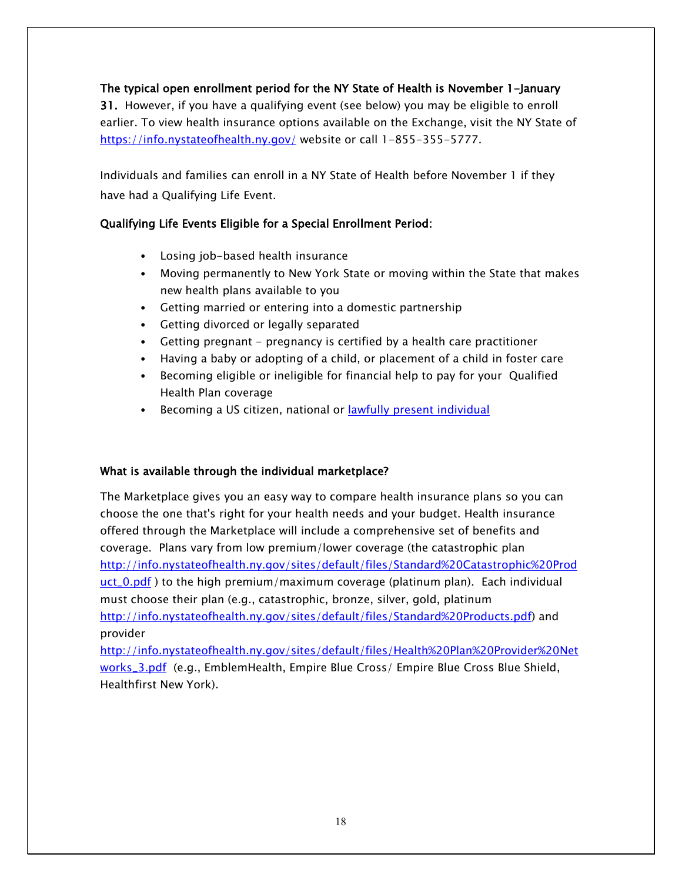#### The typical open enrollment period for the NY State of Health is November 1-January

31. However, if you have a qualifying event (see below) you may be eligible to enroll earlier. To view health insurance options available on the Exchange, visit the NY State of <https://info.nystateofhealth.ny.gov/> website or call 1-855-355-5777.

Individuals and families can enroll in a NY State of Health before November 1 if they have had a Qualifying Life Event.

#### Qualifying Life Events Eligible for a Special Enrollment Period:

- Losing job-based health insurance
- Moving permanently to New York State or moving within the State that makes new health plans available to you
- Getting married or entering into a domestic partnership
- Getting divorced or legally separated
- Getting pregnant pregnancy is certified by a health care practitioner
- Having a baby or adopting of a child, or placement of a child in foster care
- Becoming eligible or ineligible for financial help to pay for your Qualified Health Plan coverage
- Becoming a US citizen, national or [lawfully present individual](https://www.healthcare.gov/immigrants/immigration-status/)

#### What is available through the individual marketplace?

The Marketplace gives you an easy way to compare health insurance plans so you can choose the one that's right for your health needs and your budget. Health insurance offered through the Marketplace will include a comprehensive set of benefits and coverage. Plans vary from low premium/lower coverage (the catastrophic plan [http://info.nystateofhealth.ny.gov/sites/default/files/Standard%20Catastrophic%20Prod](http://info.nystateofhealth.ny.gov/sites/default/files/Standard%20Catastrophic%20Product_0.pdf)  $uct_0.pdf$  $uct_0.pdf$  $uct_0.pdf$ ) to the high premium/maximum coverage (platinum plan). Each individual</u> must choose their plan (e.g., catastrophic, bronze, silver, gold, platinum [http://info.nystateofhealth.ny.gov/sites/default/files/Standard%20Products.pdf\)](http://info.nystateofhealth.ny.gov/sites/default/files/Standard%20Products.pdf) and provider

[http://info.nystateofhealth.ny.gov/sites/default/files/Health%20Plan%20Provider%20Net](http://info.nystateofhealth.ny.gov/sites/default/files/Health%20Plan%20Provider%20Networks_3.pdf) [works\\_3.pdf](http://info.nystateofhealth.ny.gov/sites/default/files/Health%20Plan%20Provider%20Networks_3.pdf) (e.g., EmblemHealth, Empire Blue Cross/ Empire Blue Cross Blue Shield, Healthfirst New York).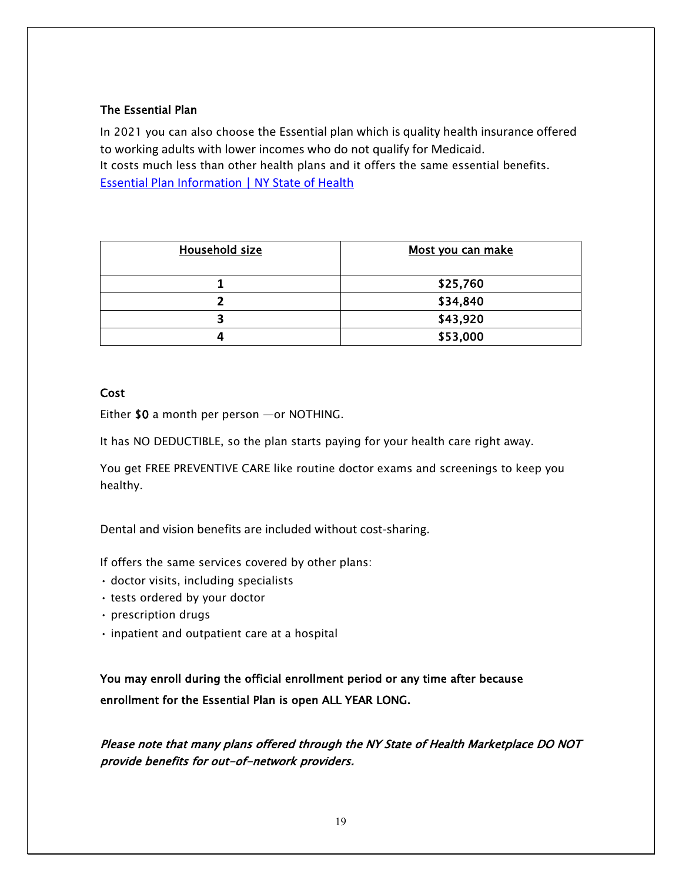#### The Essential Plan

In 2021 you can also choose the Essential plan which is quality health insurance offered to working adults with lower incomes who do not qualify for Medicaid. It costs much less than other health plans and it offers the same essential benefits. [Essential Plan Information | NY State of Health](https://info.nystateofhealth.ny.gov/essentialplan)

| <b>Household size</b> | Most you can make |
|-----------------------|-------------------|
|                       | \$25,760          |
|                       | \$34,840          |
|                       | \$43,920          |
|                       | \$53,000          |

#### **Cost**

Either \$0 a month per person —or NOTHING.

It has NO DEDUCTIBLE, so the plan starts paying for your health care right away.

You get FREE PREVENTIVE CARE like routine doctor exams and screenings to keep you healthy.

Dental and vision benefits are included without cost-sharing.

If offers the same services covered by other plans:

- doctor visits, including specialists
- tests ordered by your doctor
- prescription drugs
- inpatient and outpatient care at a hospital

You may enroll during the official enrollment period or any time after because enrollment for the Essential Plan is open ALL YEAR LONG.

Please note that many plans offered through the NY State of Health Marketplace DO NOT provide benefits for out-of-network providers.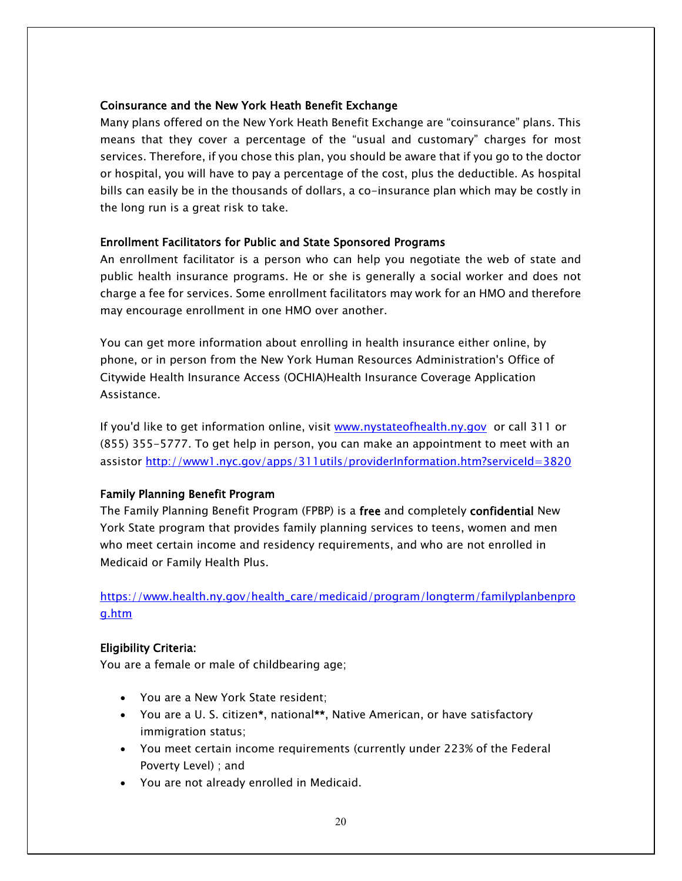#### Coinsurance and the New York Heath Benefit Exchange

Many plans offered on the New York Heath Benefit Exchange are "coinsurance" plans. This means that they cover a percentage of the "usual and customary" charges for most services. Therefore, if you chose this plan, you should be aware that if you go to the doctor or hospital, you will have to pay a percentage of the cost, plus the deductible. As hospital bills can easily be in the thousands of dollars, a co-insurance plan which may be costly in the long run is a great risk to take.

#### Enrollment Facilitators for Public and State Sponsored Programs

An enrollment facilitator is a person who can help you negotiate the web of state and public health insurance programs. He or she is generally a social worker and does not charge a fee for services. Some enrollment facilitators may work for an HMO and therefore may encourage enrollment in one HMO over another.

You can get more information about enrolling in health insurance either online, by phone, or in person from the New York Human Resources Administration's Office of Citywide Health Insurance Access (OCHIA)Health Insurance Coverage Application Assistance.

If you'd like to get information online, visit [www.nystateofhealth.ny.gov](http://www.nystateofhealth.ny.gov/) or call 311 or (855) 355-5777. To get help in person, you can make an appointment to meet with an assistor<http://www1.nyc.gov/apps/311utils/providerInformation.htm?serviceId=3820>

#### Family Planning Benefit Program

The Family Planning Benefit Program (FPBP) is a free and completely confidential New York State program that provides family planning services to teens, women and men who meet certain income and residency requirements, and who are not enrolled in Medicaid or Family Health Plus.

#### [https://www.health.ny.gov/health\\_care/medicaid/program/longterm/familyplanbenpro](https://www.health.ny.gov/health_care/medicaid/program/longterm/familyplanbenprog.htm) [g.htm](https://www.health.ny.gov/health_care/medicaid/program/longterm/familyplanbenprog.htm)

#### Eligibility Criteria:

You are a female or male of childbearing age;

- You are a New York State resident;
- You are a U. S. citizen\*, national\*\*, Native American, or have satisfactory immigration status;
- You meet certain income requirements (currently under 223% of the Federal Poverty Level) ; and
- You are not already enrolled in Medicaid.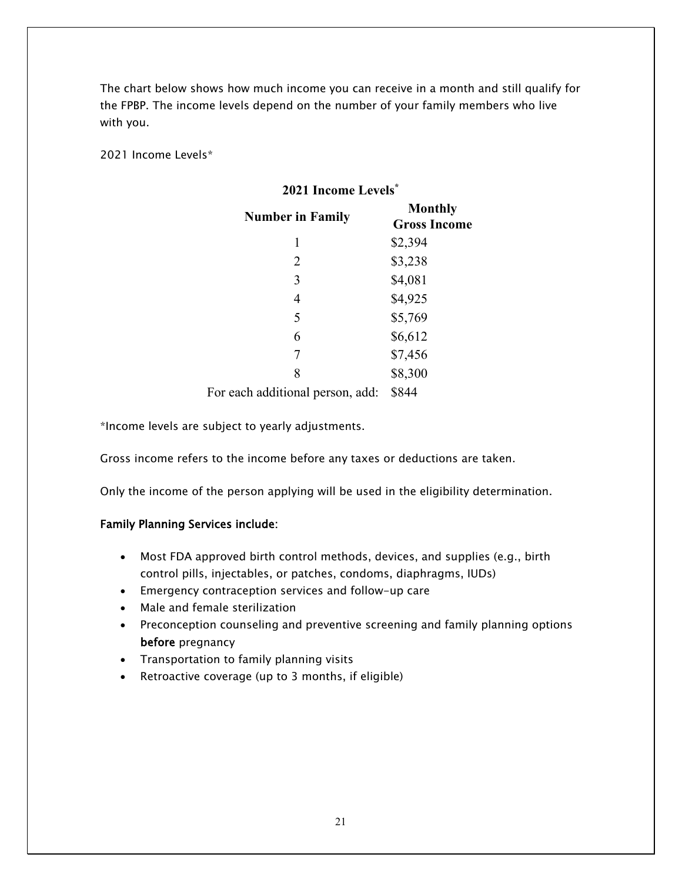The chart below shows how much income you can receive in a month and still qualify for the FPBP. The income levels depend on the number of your family members who live with you.

2021 Income Levels\*

#### **2021 Income Levels\***

| <b>Number in Family</b> | <b>Monthly</b><br><b>Gross Income</b> |
|-------------------------|---------------------------------------|
| 1                       | \$2,394                               |
| $\overline{2}$          | \$3,238                               |
| 3                       | \$4,081                               |
| $\overline{4}$          | \$4,925                               |
| 5                       | \$5,769                               |
| 6                       | \$6,612                               |
| 7                       | \$7,456                               |
| 8                       | \$8,300                               |
|                         |                                       |

For each additional person, add: \$844

\*Income levels are subject to yearly adjustments.

Gross income refers to the income before any taxes or deductions are taken.

Only the income of the person applying will be used in the eligibility determination.

#### Family Planning Services include:

- Most FDA approved birth control methods, devices, and supplies (e.g., birth control pills, injectables, or patches, condoms, diaphragms, IUDs)
- Emergency contraception services and follow-up care
- Male and female sterilization
- Preconception counseling and preventive screening and family planning options before pregnancy
- Transportation to family planning visits
- Retroactive coverage (up to 3 months, if eligible)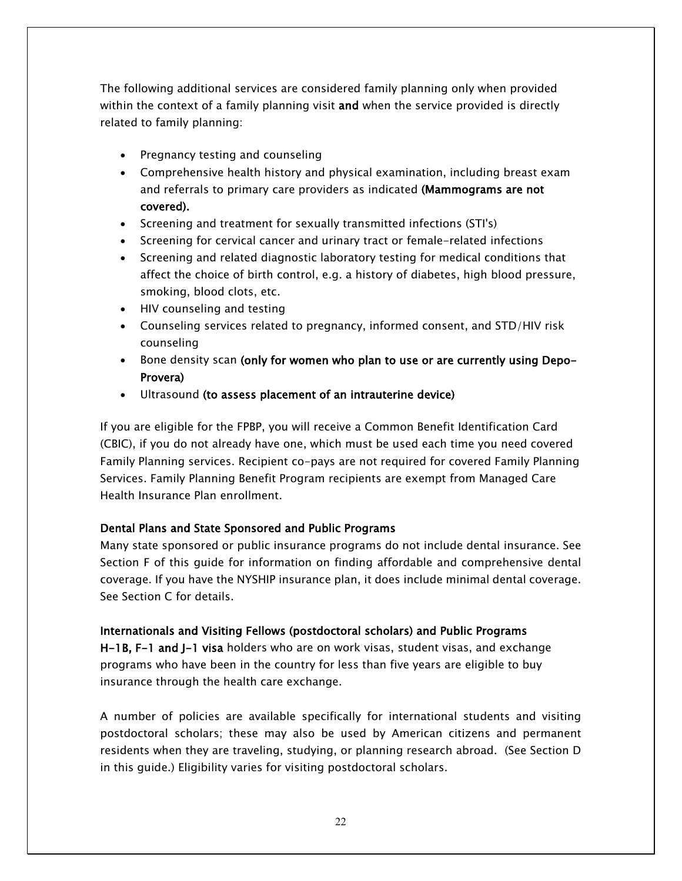The following additional services are considered family planning only when provided within the context of a family planning visit and when the service provided is directly related to family planning:

- Pregnancy testing and counseling
- Comprehensive health history and physical examination, including breast exam and referrals to primary care providers as indicated (Mammograms are not covered).
- Screening and treatment for sexually transmitted infections (STI's)
- Screening for cervical cancer and urinary tract or female-related infections
- Screening and related diagnostic laboratory testing for medical conditions that affect the choice of birth control, e.g. a history of diabetes, high blood pressure, smoking, blood clots, etc.
- HIV counseling and testing
- Counseling services related to pregnancy, informed consent, and STD/HIV risk counseling
- Bone density scan (only for women who plan to use or are currently using Depo-Provera)
- Ultrasound (to assess placement of an intrauterine device)

If you are eligible for the FPBP, you will receive a Common Benefit Identification Card (CBIC), if you do not already have one, which must be used each time you need covered Family Planning services. Recipient co-pays are not required for covered Family Planning Services. Family Planning Benefit Program recipients are exempt from Managed Care Health Insurance Plan enrollment.

#### Dental Plans and State Sponsored and Public Programs

Many state sponsored or public insurance programs do not include dental insurance. See Section F of this guide for information on finding affordable and comprehensive dental coverage. If you have the NYSHIP insurance plan, it does include minimal dental coverage. See Section C for details.

#### Internationals and Visiting Fellows (postdoctoral scholars) and Public Programs

H-1B, F-1 and J-1 visa holders who are on work visas, student visas, and exchange programs who have been in the country for less than five years are eligible to buy insurance through the health care exchange.

A number of policies are available specifically for international students and visiting postdoctoral scholars; these may also be used by American citizens and permanent residents when they are traveling, studying, or planning research abroad. (See Section D in this guide.) Eligibility varies for visiting postdoctoral scholars.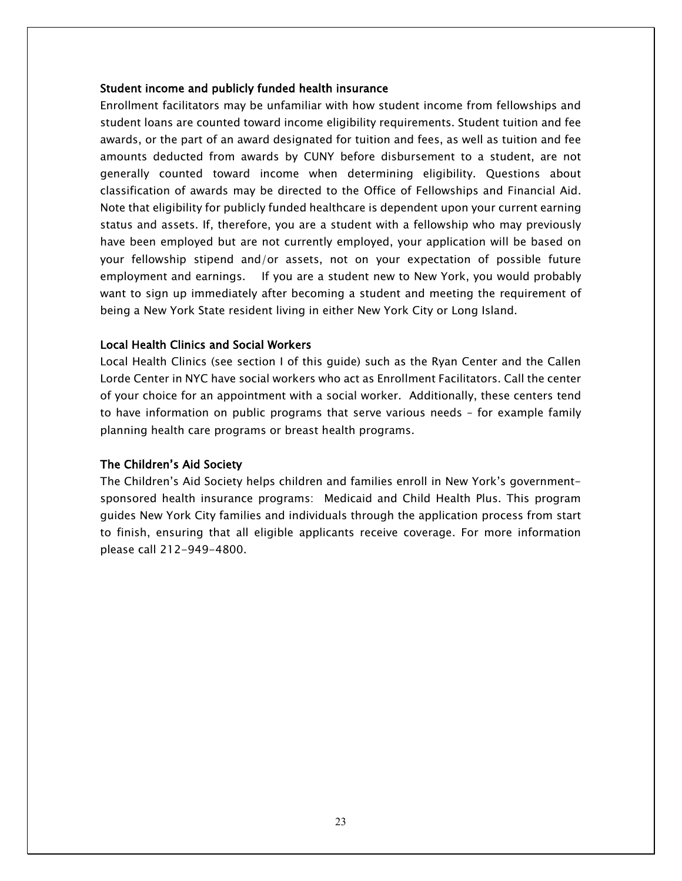#### Student income and publicly funded health insurance

Enrollment facilitators may be unfamiliar with how student income from fellowships and student loans are counted toward income eligibility requirements. Student tuition and fee awards, or the part of an award designated for tuition and fees, as well as tuition and fee amounts deducted from awards by CUNY before disbursement to a student, are not generally counted toward income when determining eligibility. Questions about classification of awards may be directed to the Office of Fellowships and Financial Aid. Note that eligibility for publicly funded healthcare is dependent upon your current earning status and assets. If, therefore, you are a student with a fellowship who may previously have been employed but are not currently employed, your application will be based on your fellowship stipend and/or assets, not on your expectation of possible future employment and earnings. If you are a student new to New York, you would probably want to sign up immediately after becoming a student and meeting the requirement of being a New York State resident living in either New York City or Long Island.

#### Local Health Clinics and Social Workers

Local Health Clinics (see section I of this guide) such as the Ryan Center and the Callen Lorde Center in NYC have social workers who act as Enrollment Facilitators. Call the center of your choice for an appointment with a social worker. Additionally, these centers tend to have information on public programs that serve various needs – for example family planning health care programs or breast health programs.

#### The Children's Aid Society

The Children's Aid Society helps children and families enroll in New York's governmentsponsored health insurance programs: Medicaid and Child Health Plus. This program guides New York City families and individuals through the application process from start to finish, ensuring that all eligible applicants receive coverage. For more information please call 212-949-4800.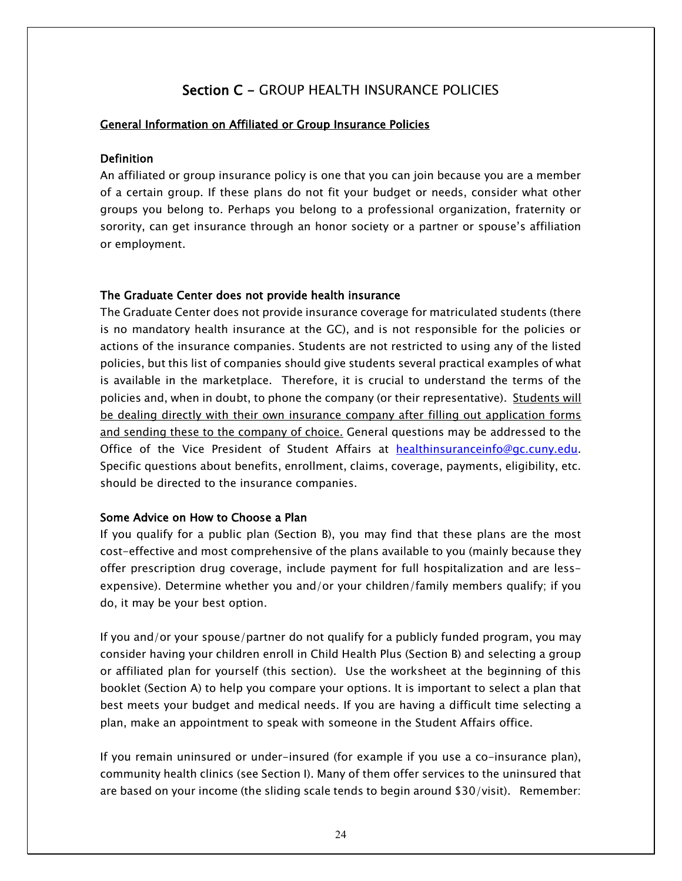## Section C - GROUP HEALTH INSURANCE POLICIES

#### General Information on Affiliated or Group Insurance Policies

#### Definition

An affiliated or group insurance policy is one that you can join because you are a member of a certain group. If these plans do not fit your budget or needs, consider what other groups you belong to. Perhaps you belong to a professional organization, fraternity or sorority, can get insurance through an honor society or a partner or spouse's affiliation or employment.

#### The Graduate Center does not provide health insurance

The Graduate Center does not provide insurance coverage for matriculated students (there is no mandatory health insurance at the GC), and is not responsible for the policies or actions of the insurance companies. Students are not restricted to using any of the listed policies, but this list of companies should give students several practical examples of what is available in the marketplace. Therefore, it is crucial to understand the terms of the policies and, when in doubt, to phone the company (or their representative). Students will be dealing directly with their own insurance company after filling out application forms and sending these to the company of choice. General questions may be addressed to the Office of the Vice President of Student Affairs at [healthinsuranceinfo@gc.cuny.edu.](mailto:healthinsuranceinfo@gc.cuny.edu) Specific questions about benefits, enrollment, claims, coverage, payments, eligibility, etc. should be directed to the insurance companies.

#### Some Advice on How to Choose a Plan

If you qualify for a public plan (Section B), you may find that these plans are the most cost-effective and most comprehensive of the plans available to you (mainly because they offer prescription drug coverage, include payment for full hospitalization and are lessexpensive). Determine whether you and/or your children/family members qualify; if you do, it may be your best option.

If you and/or your spouse/partner do not qualify for a publicly funded program, you may consider having your children enroll in Child Health Plus (Section B) and selecting a group or affiliated plan for yourself (this section). Use the worksheet at the beginning of this booklet (Section A) to help you compare your options. It is important to select a plan that best meets your budget and medical needs. If you are having a difficult time selecting a plan, make an appointment to speak with someone in the Student Affairs office.

If you remain uninsured or under-insured (for example if you use a co-insurance plan), community health clinics (see Section I). Many of them offer services to the uninsured that are based on your income (the sliding scale tends to begin around \$30/visit). Remember: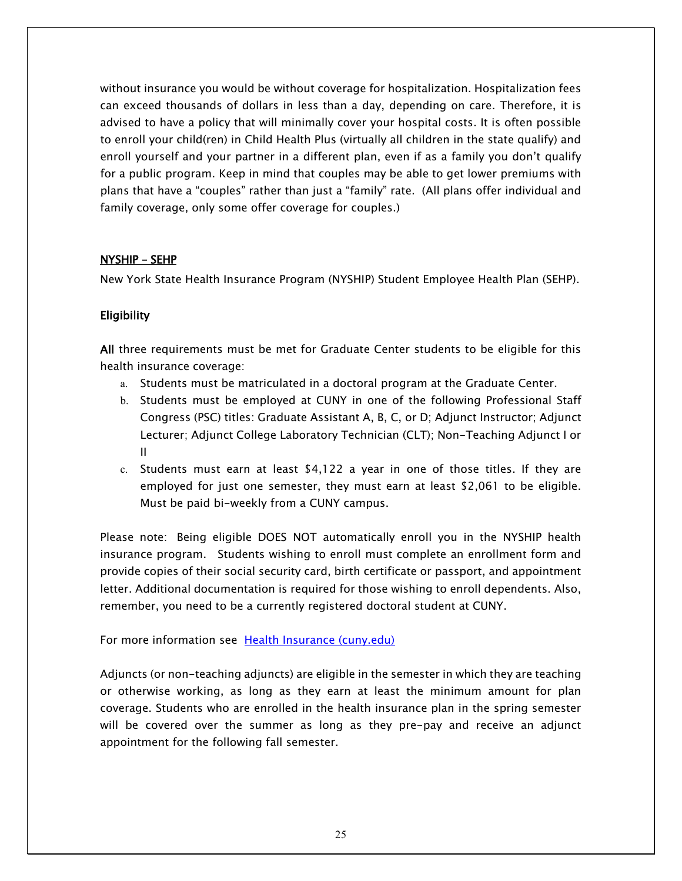without insurance you would be without coverage for hospitalization. Hospitalization fees can exceed thousands of dollars in less than a day, depending on care. Therefore, it is advised to have a policy that will minimally cover your hospital costs. It is often possible to enroll your child(ren) in Child Health Plus (virtually all children in the state qualify) and enroll yourself and your partner in a different plan, even if as a family you don't qualify for a public program. Keep in mind that couples may be able to get lower premiums with plans that have a "couples" rather than just a "family" rate. (All plans offer individual and family coverage, only some offer coverage for couples.)

#### NYSHIP – SEHP

New York State Health Insurance Program (NYSHIP) Student Employee Health Plan (SEHP).

#### Eligibility

All three requirements must be met for Graduate Center students to be eligible for this health insurance coverage:

- a. Students must be matriculated in a doctoral program at the Graduate Center.
- b. Students must be employed at CUNY in one of the following Professional Staff Congress (PSC) titles: Graduate Assistant A, B, C, or D; Adjunct Instructor; Adjunct Lecturer; Adjunct College Laboratory Technician (CLT); Non-Teaching Adjunct I or II
- c. Students must earn at least \$4,122 a year in one of those titles. If they are employed for just one semester, they must earn at least \$2,061 to be eligible. Must be paid bi-weekly from a CUNY campus.

Please note: Being eligible DOES NOT automatically enroll you in the NYSHIP health insurance program. Students wishing to enroll must complete an enrollment form and provide copies of their social security card, birth certificate or passport, and appointment letter. Additional documentation is required for those wishing to enroll dependents. Also, remember, you need to be a currently registered doctoral student at CUNY.

For more information see [Health Insurance \(cuny.edu\)](https://www.gc.cuny.edu/Prospective-Current-Students/Student-Life/Health-Wellness/Health-Insurance)

Adjuncts (or non-teaching adjuncts) are eligible in the semester in which they are teaching or otherwise working, as long as they earn at least the minimum amount for plan coverage. Students who are enrolled in the health insurance plan in the spring semester will be covered over the summer as long as they pre-pay and receive an adjunct appointment for the following fall semester.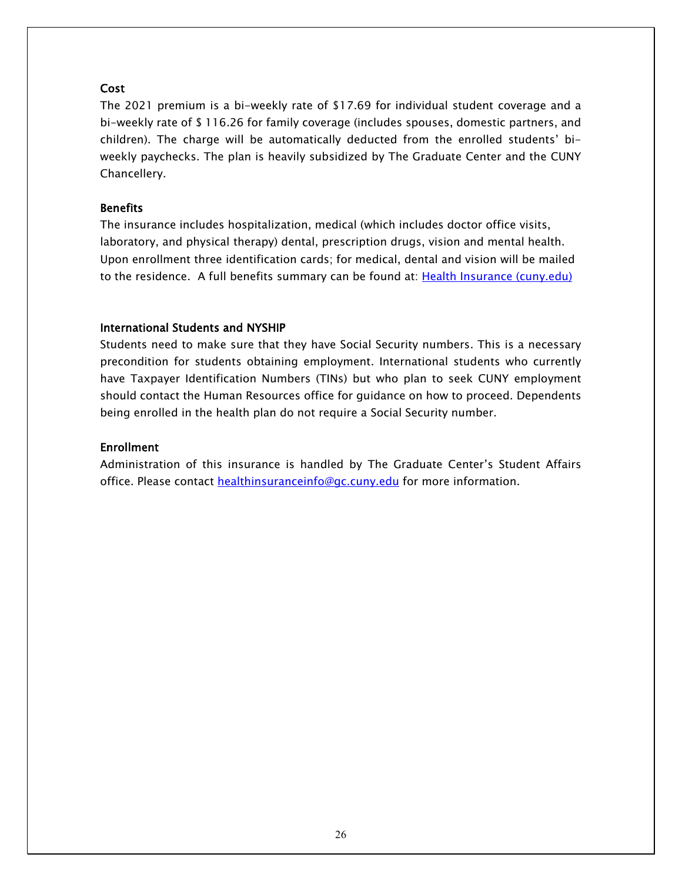#### **Cost**

The 2021 premium is a bi-weekly rate of \$17.69 for individual student coverage and a bi-weekly rate of \$ 116.26 for family coverage (includes spouses, domestic partners, and children). The charge will be automatically deducted from the enrolled students' biweekly paychecks. The plan is heavily subsidized by The Graduate Center and the CUNY Chancellery.

#### **Benefits**

The insurance includes hospitalization, medical (which includes doctor office visits, laboratory, and physical therapy) dental, prescription drugs, vision and mental health. Upon enrollment three identification cards; for medical, dental and vision will be mailed to the residence. A full benefits summary can be found at: [Health Insurance \(cuny.edu\)](https://www.gc.cuny.edu/Prospective-Current-Students/Student-Life/Health-Wellness/Health-Insurance)

#### International Students and NYSHIP

Students need to make sure that they have Social Security numbers. This is a necessary precondition for students obtaining employment. International students who currently have Taxpayer Identification Numbers (TINs) but who plan to seek CUNY employment should contact the Human Resources office for guidance on how to proceed. Dependents being enrolled in the health plan do not require a Social Security number.

#### **Enrollment**

Administration of this insurance is handled by The Graduate Center's Student Affairs office. Please contact [healthinsuranceinfo@gc.cuny.edu](mailto:healthinsuranceinfo@gc.cuny.edu) for more information.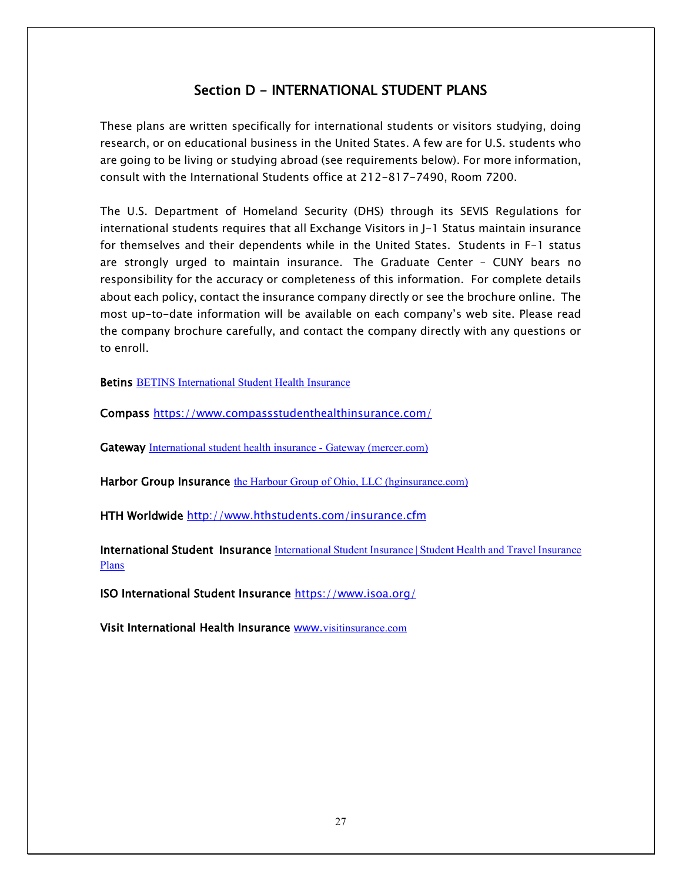## Section D - INTERNATIONAL STUDENT PLANS

These plans are written specifically for international students or visitors studying, doing research, or on educational business in the United States. A few are for U.S. students who are going to be living or studying abroad (see requirements below). For more information, consult with the International Students office at 212-817-7490, Room 7200.

The U.S. Department of Homeland Security (DHS) through its SEVIS Regulations for international students requires that all Exchange Visitors in J-1 Status maintain insurance for themselves and their dependents while in the United States. Students in F-1 status are strongly urged to maintain insurance. The Graduate Center – CUNY bears no responsibility for the accuracy or completeness of this information. For complete details about each policy, contact the insurance company directly or see the brochure online. The most up-to-date information will be available on each company's web site. Please read the company brochure carefully, and contact the company directly with any questions or to enroll.

**Betins [BETINS International Student Health Insurance](https://betins.com/)** 

Compass<https://www.compassstudenthealthinsurance.com/>

Gateway [International student health insurance -](https://gatewayplans.mercer.com/international-student-health-insurance.html) Gateway (mercer.com)

Harbor Group Insurance [the Harbour Group of Ohio, LLC \(hginsurance.com\)](https://www.hginsurance.com/)

HTH Worldwide <http://www.hthstudents.com/insurance.cfm>

**International Student Insurance International Student Insurance | Student Health and Travel Insurance** [Plans](https://www.internationalstudentinsurance.com/)

ISO International Student Insurance <https://www.isoa.org/>

Visit International Health Insurance [www.](http://www.visitinsurance.com/)[visitinsurance.com](http://www.visitinsurance.com/)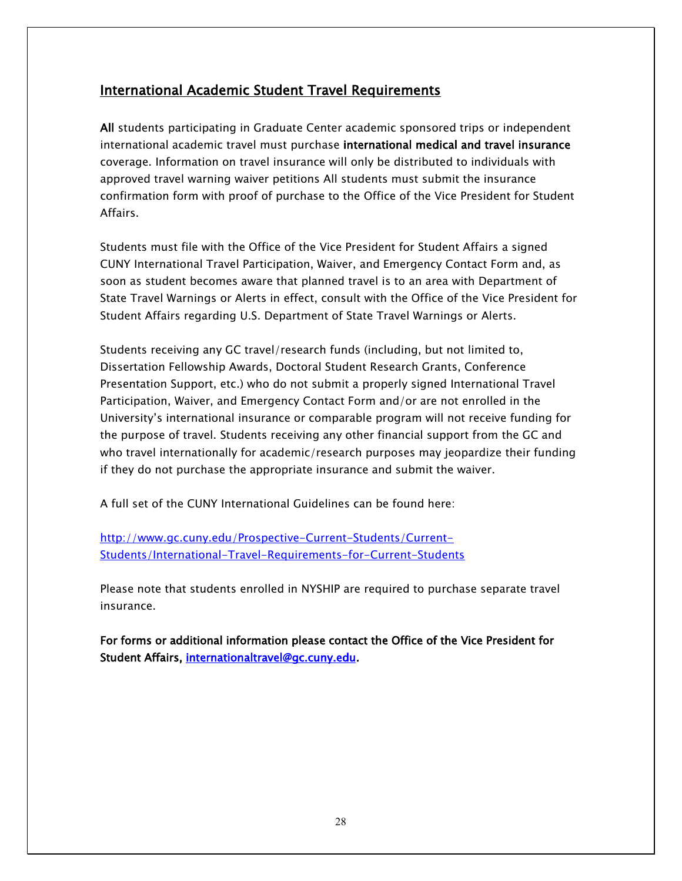## International Academic Student Travel Requirements

All students participating in Graduate Center academic sponsored trips or independent international academic travel must purchase international medical and travel insurance coverage. Information on travel insurance will only be distributed to individuals with approved travel warning waiver petitions All students must submit the insurance confirmation form with proof of purchase to the Office of the Vice President for Student Affairs.

Students must file with the Office of the Vice President for Student Affairs a signed CUNY International Travel Participation, Waiver, and Emergency Contact Form and, as soon as student becomes aware that planned travel is to an area with Department of State Travel Warnings or Alerts in effect, consult with the Office of the Vice President for Student Affairs regarding U.S. Department of State Travel Warnings or Alerts.

Students receiving any GC travel/research funds (including, but not limited to, Dissertation Fellowship Awards, Doctoral Student Research Grants, Conference Presentation Support, etc.) who do not submit a properly signed International Travel Participation, Waiver, and Emergency Contact Form and/or are not enrolled in the University's international insurance or comparable program will not receive funding for the purpose of travel. Students receiving any other financial support from the GC and who travel internationally for academic/research purposes may jeopardize their funding if they do not purchase the appropriate insurance and submit the waiver.

A full set of the CUNY International Guidelines can be found here:

[http://www.gc.cuny.edu/Prospective-Current-Students/Current-](http://www.gc.cuny.edu/Prospective-Current-Students/Current-Students/International-Travel-Requirements-for-Current-Students)[Students/International-Travel-Requirements-for-Current-Students](http://www.gc.cuny.edu/Prospective-Current-Students/Current-Students/International-Travel-Requirements-for-Current-Students)

Please note that students enrolled in NYSHIP are required to purchase separate travel insurance.

For forms or additional information please contact the Office of the Vice President for Student Affairs, [internationaltravel@gc.cuny.edu.](mailto:internationaltravel@gc.cuny.edu)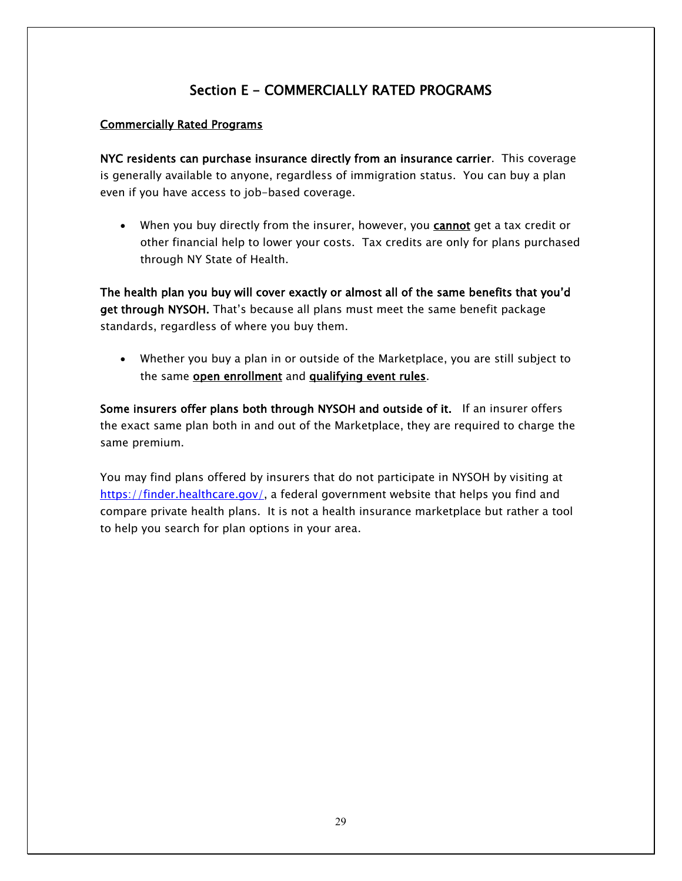## Section E - COMMERCIALLY RATED PROGRAMS

#### Commercially Rated Programs

NYC residents can purchase insurance directly from an insurance carrier. This coverage is generally available to anyone, regardless of immigration status. You can buy a plan even if you have access to job-based coverage.

• When you buy directly from the insurer, however, you **cannot** get a tax credit or other financial help to lower your costs. Tax credits are only for plans purchased through NY State of Health.

The health plan you buy will cover exactly or almost all of the same benefits that you'd get through NYSOH. That's because all plans must meet the same benefit package standards, regardless of where you buy them.

• Whether you buy a plan in or outside of the Marketplace, you are still subject to the same **open enrollment** and **qualifying event rules**.

Some insurers offer plans both through NYSOH and outside of it. If an insurer offers the exact same plan both in and out of the Marketplace, they are required to charge the same premium.

You may find plans offered by insurers that do not participate in NYSOH by visiting at [https://finder.healthcare.gov/,](https://finder.healthcare.gov/) a federal government website that helps you find and compare private health plans. It is not a health insurance marketplace but rather a tool to help you search for plan options in your area.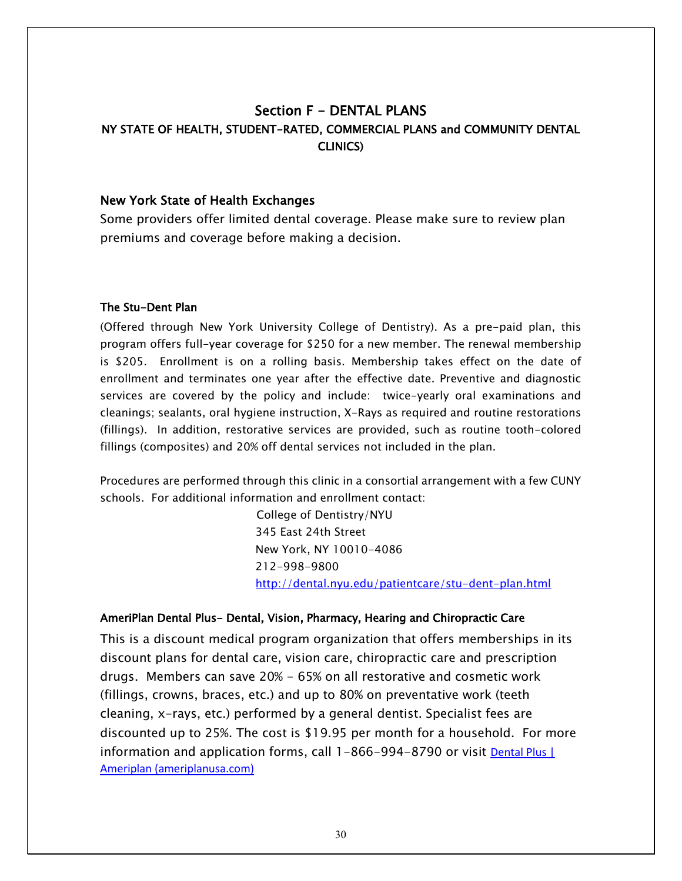## Section F - DENTAL PLANS NY STATE OF HEALTH, STUDENT-RATED, COMMERCIAL PLANS and COMMUNITY DENTAL CLINICS)

#### New York State of Health Exchanges

Some providers offer limited dental coverage. Please make sure to review plan premiums and coverage before making a decision.

#### The Stu-Dent Plan

(Offered through New York University College of Dentistry). As a pre-paid plan, this program offers full-year coverage for \$250 for a new member. The renewal membership is \$205. Enrollment is on a rolling basis. Membership takes effect on the date of enrollment and terminates one year after the effective date. Preventive and diagnostic services are covered by the policy and include: twice-yearly oral examinations and cleanings; sealants, oral hygiene instruction, X-Rays as required and routine restorations (fillings). In addition, restorative services are provided, such as routine tooth-colored fillings (composites) and 20% off dental services not included in the plan.

Procedures are performed through this clinic in a consortial arrangement with a few CUNY schools. For additional information and enrollment contact:

> College of Dentistry/NYU 345 East 24th Street New York, NY 10010-4086 212-998-9800 <http://dental.nyu.edu/patientcare/stu-dent-plan.html>

#### AmeriPlan Dental Plus- Dental, Vision, Pharmacy, Hearing and Chiropractic Care

This is a discount medical program organization that offers memberships in its discount plans for dental care, vision care, chiropractic care and prescription drugs. Members can save 20% - 65% on all restorative and cosmetic work (fillings, crowns, braces, etc.) and up to 80% on preventative work (teeth cleaning, x-rays, etc.) performed by a general dentist. Specialist fees are discounted up to 25%. The cost is \$19.95 per month for a household. For more information and application forms, call 1-866-994-8790 or visit **Dental Plus** [ [Ameriplan \(ameriplanusa.com\)](https://www.ameriplanusa.com/dental-plus/)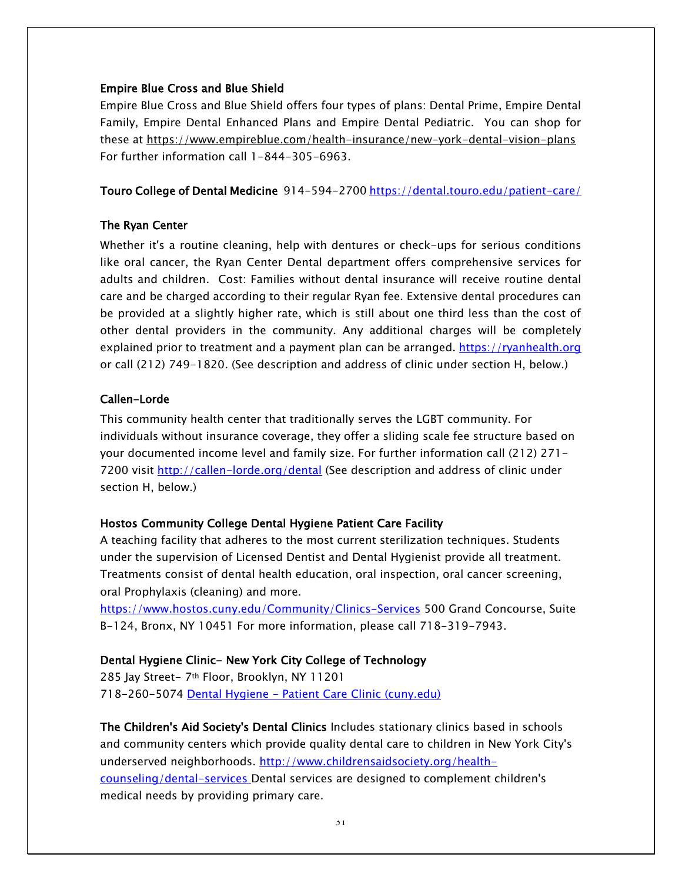#### Empire Blue Cross and Blue Shield

Empire Blue Cross and Blue Shield offers four types of plans: Dental Prime, Empire Dental Family, Empire Dental Enhanced Plans and Empire Dental Pediatric. You can shop for these at<https://www.empireblue.com/health-insurance/new-york-dental-vision-plans> For further information call 1-844-305-6963.

Touro College of Dental Medicine 914-594-2700<https://dental.touro.edu/patient-care/>

#### The Ryan Center

Whether it's a routine cleaning, help with dentures or check-ups for serious conditions like oral cancer, the Ryan Center Dental department offers comprehensive services for adults and children. Cost: Families without dental insurance will receive routine dental care and be charged according to their regular Ryan fee. Extensive dental procedures can be provided at a slightly higher rate, which is still about one third less than the cost of other dental providers in the community. Any additional charges will be completely explained prior to treatment and a payment plan can be arranged. [https://ryanhealth.org](https://ryanhealth.org/) or call (212) 749-1820. (See description and address of clinic under section H, below.)

#### Callen-Lorde

This community health center that traditionally serves the LGBT community. For individuals without insurance coverage, they offer a sliding scale fee structure based on your documented income level and family size. For further information call (212) 271 7200 visit<http://callen-lorde.org/dental> (See description and address of clinic under section H, below.)

#### Hostos Community College Dental Hygiene Patient Care Facility

A teaching facility that adheres to the most current sterilization techniques. Students under the supervision of Licensed Dentist and Dental Hygienist provide all treatment. Treatments consist of dental health education, oral inspection, oral cancer screening, oral Prophylaxis (cleaning) and more.

<https://www.hostos.cuny.edu/Community/Clinics-Services> 500 Grand Concourse, Suite B-124, Bronx, NY 10451 For more information, please call 718-319-7943.

## Dental Hygiene Clinic- New York City College of Technology

285 Jay Street- 7th Floor, Brooklyn, NY 11201 718-260-5074 Dental Hygiene - [Patient Care Clinic \(cuny.edu\)](https://www.citytech.cuny.edu/dental/clinic.aspx)

The Children's Aid Society's Dental Clinics Includes stationary clinics based in schools and community centers which provide quality dental care to children in New York City's underserved neighborhoods. [http://www.childrensaidsociety.org/health](http://www.childrensaidsociety.org/health-counseling/dental-services)[counseling/dental-services](http://www.childrensaidsociety.org/health-counseling/dental-services) Dental services are designed to complement children's medical needs by providing primary care.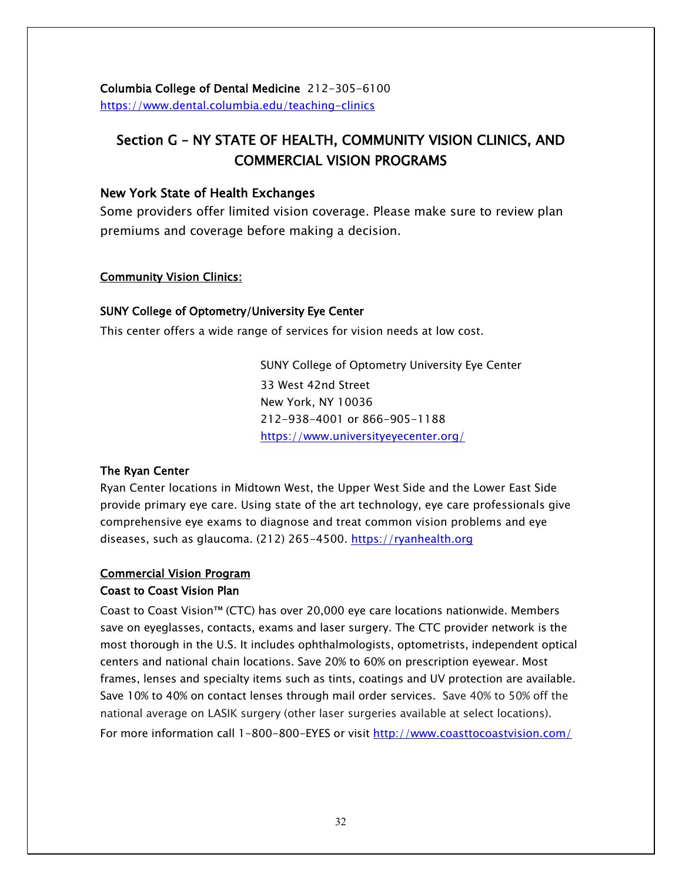Columbia College of Dental Medicine 212-305-6100 <https://www.dental.columbia.edu/teaching-clinics>

## Section G – NY STATE OF HEALTH, COMMUNITY VISION CLINICS, AND COMMERCIAL VISION PROGRAMS

#### New York State of Health Exchanges

Some providers offer limited vision coverage. Please make sure to review plan premiums and coverage before making a decision.

#### Community Vision Clinics:

#### SUNY College of Optometry/University Eye Center

This center offers a wide range of services for vision needs at low cost.

SUNY College of Optometry University Eye Center 33 West 42nd Street New York, NY 10036 212-938-4001 or 866-905-1188 <https://www.universityeyecenter.org/>

## The Ryan Center

Ryan Center locations in Midtown West, the Upper West Side and the Lower East Side provide primary eye care. Using state of the art technology, eye care professionals give comprehensive eye exams to diagnose and treat common vision problems and eye diseases, such as glaucoma. (212) 265-4500. [https://ryanhealth.org](https://ryanhealth.org/)

#### Commercial Vision Program Coast to Coast Vision Plan

Coast to Coast Vision™ (CTC) has over 20,000 eye care locations nationwide. Members save on eyeglasses, contacts, exams and laser surgery. The CTC provider network is the most thorough in the U.S. It includes ophthalmologists, optometrists, independent optical centers and national chain locations. Save 20% to 60% on prescription eyewear. Most frames, lenses and specialty items such as tints, coatings and UV protection are available. Save 10% to 40% on contact lenses through mail order services. Save 40% to 50% off the national average on LASIK surgery (other laser surgeries available at select locations). For more information call 1-800-800-EYES or visit<http://www.coasttocoastvision.com/>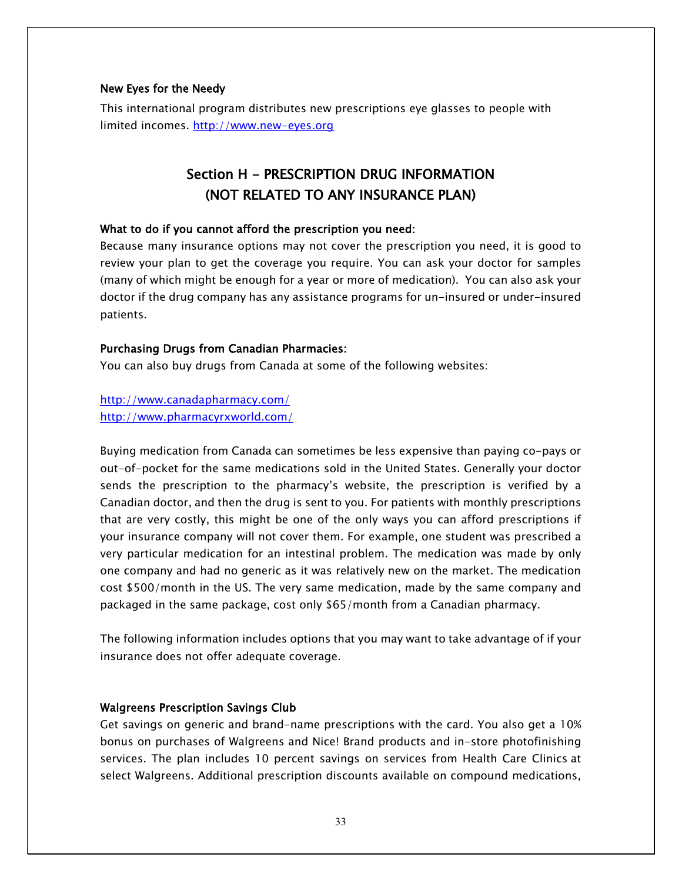#### New Eyes for the Needy

This international program distributes new prescriptions eye glasses to people with limited incomes. [http://www.new-eyes.org](http://www.new-eyes.org/)

## Section H - PRESCRIPTION DRUG INFORMATION (NOT RELATED TO ANY INSURANCE PLAN)

#### What to do if you cannot afford the prescription you need:

Because many insurance options may not cover the prescription you need, it is good to review your plan to get the coverage you require. You can ask your doctor for samples (many of which might be enough for a year or more of medication). You can also ask your doctor if the drug company has any assistance programs for un-insured or under-insured patients.

#### Purchasing Drugs from Canadian Pharmacies:

You can also buy drugs from Canada at some of the following websites:

<http://www.canadapharmacy.com/> <http://www.pharmacyrxworld.com/>

Buying medication from Canada can sometimes be less expensive than paying co-pays or out-of-pocket for the same medications sold in the United States. Generally your doctor sends the prescription to the pharmacy's website, the prescription is verified by a Canadian doctor, and then the drug is sent to you. For patients with monthly prescriptions that are very costly, this might be one of the only ways you can afford prescriptions if your insurance company will not cover them. For example, one student was prescribed a very particular medication for an intestinal problem. The medication was made by only one company and had no generic as it was relatively new on the market. The medication cost \$500/month in the US. The very same medication, made by the same company and packaged in the same package, cost only \$65/month from a Canadian pharmacy.

The following information includes options that you may want to take advantage of if your insurance does not offer adequate coverage.

#### Walgreens Prescription Savings Club

Get savings on generic and brand-name prescriptions with the card. You also get a 10% bonus on purchases of Walgreens and Nice! Brand products and in-store photofinishing services. The plan includes 10 percent savings on services from Health Care Clinics at select Walgreens. Additional prescription discounts available on compound medications,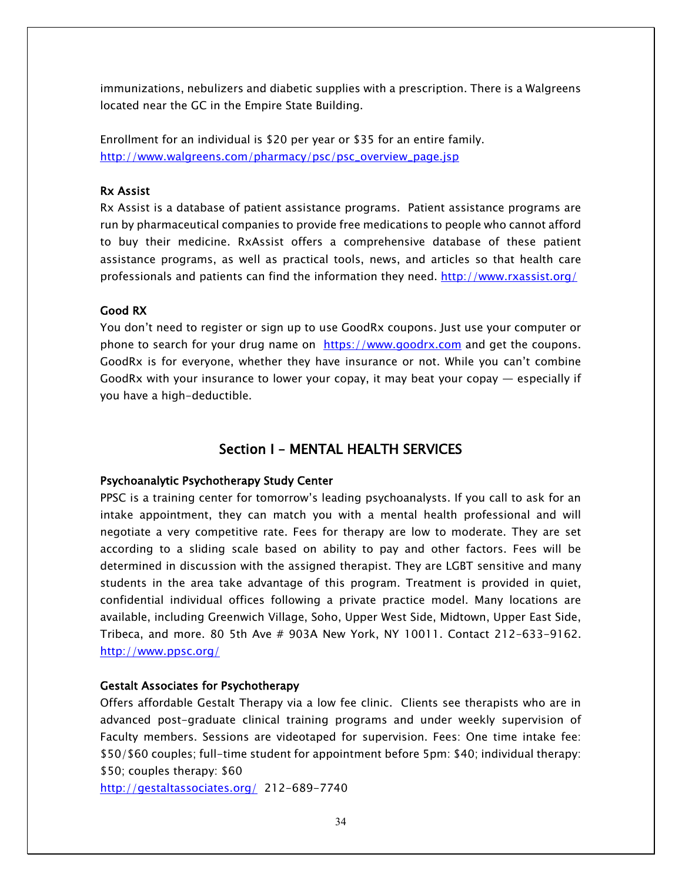immunizations, nebulizers and diabetic supplies with a prescription. There is a Walgreens located near the GC in the Empire State Building.

Enrollment for an individual is \$20 per year or \$35 for an entire family. [http://www.walgreens.com/pharmacy/psc/psc\\_overview\\_page.jsp](http://www.walgreens.com/pharmacy/psc/psc_overview_page.jsp)

#### Rx Assist

Rx Assist is a database of patient assistance programs. Patient assistance programs are run by pharmaceutical companies to provide free medications to people who cannot afford to buy their medicine. RxAssist offers a comprehensive database of these patient assistance programs, as well as practical tools, news, and articles so that health care professionals and patients can find the information they need.<http://www.rxassist.org/>

#### Good RX

You don't need to register or sign up to use GoodRx coupons. Just use your computer or phone to search for your drug name on [https://www.goodrx.com](https://www.goodrx.com/) and get the coupons. GoodRx is for everyone, whether they have insurance or not. While you can't combine GoodRx with your insurance to lower your copay, it may beat your copay — especially if you have a high-deductible.

## [Section I – MENTAL HEALTH SERVICES](#page-33-0)

#### <span id="page-33-0"></span>Psychoanalytic Psychotherapy Study Center

PPSC is a training center for tomorrow's leading psychoanalysts. If you call to ask for an intake appointment, they can match you with a mental health professional and will negotiate a very competitive rate. Fees for therapy are low to moderate. They are set according to a sliding scale based on ability to pay and other factors. Fees will be determined in discussion with the assigned therapist. They are LGBT sensitive and many students in the area take advantage of this program. Treatment is provided in quiet, confidential individual offices following a private practice model. Many locations are available, including Greenwich Village, Soho, Upper West Side, Midtown, Upper East Side, Tribeca, and more. 80 5th Ave # 903A New York, NY 10011. Contact 212-633-9162. <http://www.ppsc.org/>

#### Gestalt Associates for Psychotherapy

Offers affordable Gestalt Therapy via a low fee clinic. Clients see therapists who are in advanced post-graduate clinical training programs and under weekly supervision of Faculty members. Sessions are videotaped for supervision. Fees: One time intake fee: \$50/\$60 couples; full-time student for appointment before 5pm: \$40; individual therapy: \$50; couples therapy: \$60

<http://gestaltassociates.org/>212-689-7740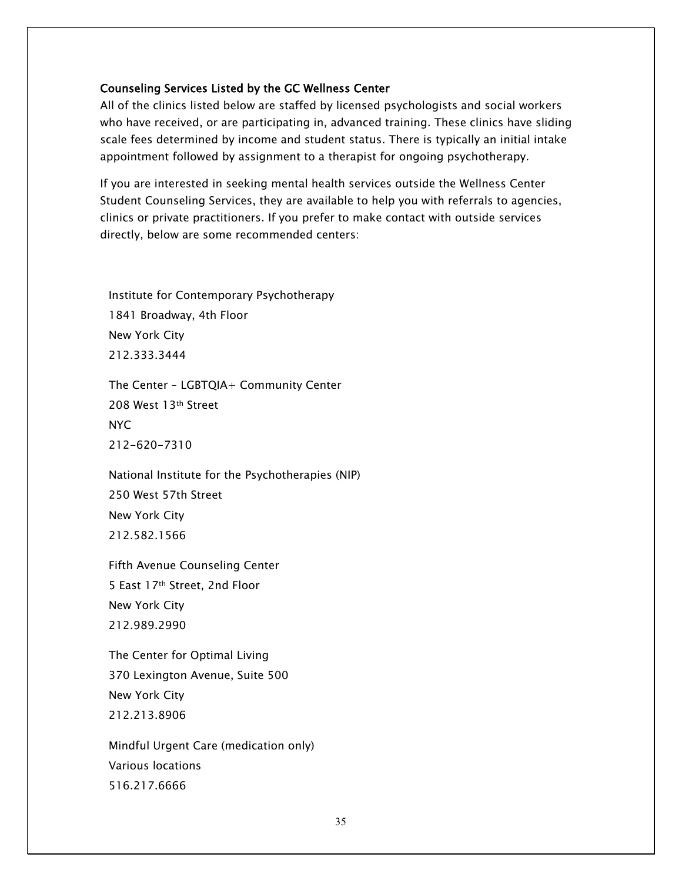#### Counseling Services Listed by the GC Wellness Center

All of the clinics listed below are staffed by licensed psychologists and social workers who have received, or are participating in, advanced training. These clinics have sliding scale fees determined by income and student status. There is typically an initial intake appointment followed by assignment to a therapist for ongoing psychotherapy.

If you are interested in seeking mental health services outside the Wellness Center Student Counseling Services, they are available to help you with referrals to agencies, clinics or private practitioners. If you prefer to make contact with outside services directly, below are some recommended centers:

[Institute for Contemporary Psychotherapy](http://icpnyc.org/) 1841 Broadway, 4th Floor New York City 212.333.3444

The Center – [LGBTQIA+ Community Center](https://gaycenter.org/) 208 West 13th Street NYC 212-620-7310

[National Institute for the Psychotherapies \(NIP\)](http://nipinst.org/) 250 West 57th Street New York City 212.582.1566

[Fifth Avenue Counseling Center](http://www.tfacc.org/) 5 East 17th Street, 2nd Floor New York City 212.989.2990

[The Center for Optimal Living](https://centerforoptimalliving.com/) 370 Lexington Avenue, Suite 500 New York City 212.213.8906

[Mindful Urgent Care](http://mindfulurgentcare.com/contents/locations) (medication only) Various locations 516.217.6666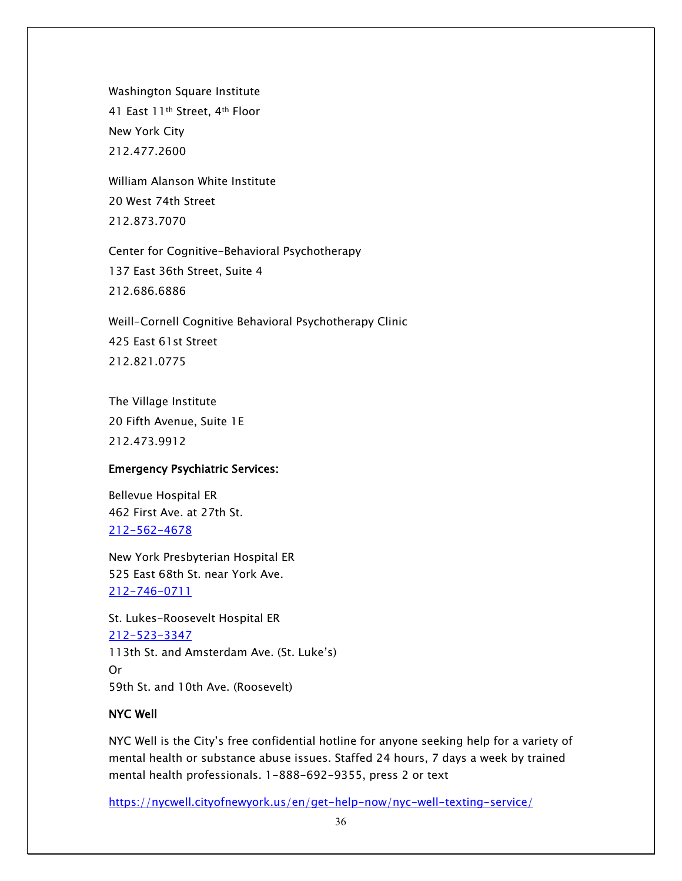[Washington Square Institute](http://www.wsi.org/) 41 East 11<sup>th</sup> Street, 4<sup>th</sup> Floor New York City 212.477.2600

[William Alanson White Institute](http://wawhite.org/) 20 West 74th Street 212.873.7070

[Center for Cognitive-Behavioral Psychotherapy](http://cognitivebehavioralcenter.com/) 137 East 36th Street, Suite 4 212.686.6886

[Weill-Cornell Cognitive Behavioral Psychotherapy Clinic](http://www.cognitivebehavioralcenter.com/) 425 East 61st Street 212.821.0775

[The Village Institute](http://villageinstitute.com/) 20 Fifth Avenue, Suite 1E 212.473.9912

#### Emergency Psychiatric Services:

Bellevue Hospital ER 462 First Ave. at 27th St. [212-562-4678](tel:212-562-4678)

New York Presbyterian Hospital ER 525 East 68th St. near York Ave. [212-746-0711](tel:212-746-0711)

St. Lukes-Roosevelt Hospital ER [212-523-3347](tel:212-523-3347) 113th St. and Amsterdam Ave. (St. Luke's) Or 59th St. and 10th Ave. (Roosevelt)

#### NYC Well

NYC Well is the City's free confidential hotline for anyone seeking help for a variety of mental health or substance abuse issues. Staffed 24 hours, 7 days a week by trained mental health professionals. 1-888-692-9355, press 2 or text

<https://nycwell.cityofnewyork.us/en/get-help-now/nyc-well-texting-service/>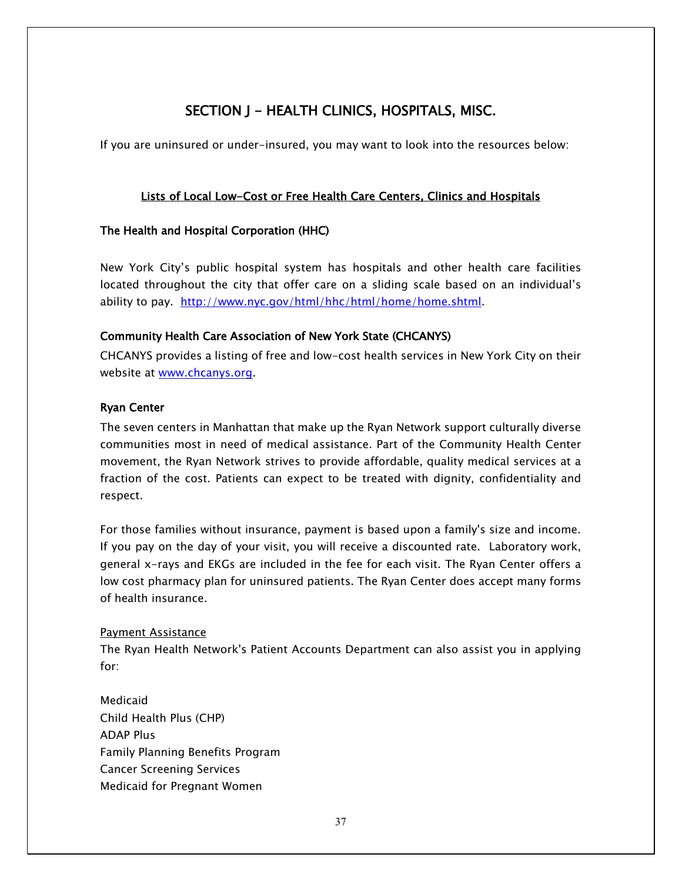## SECTION J - HEALTH CLINICS, HOSPITALS, MISC.

If you are uninsured or under-insured, you may want to look into the resources below:

## Lists of Local Low-Cost or Free Health Care Centers, Clinics and Hospitals

#### The Health and Hospital Corporation (HHC)

New York City's public hospital system has hospitals and other health care facilities located throughout the city that offer care on a sliding scale based on an individual's ability to pay. [http://www.nyc.gov/html/hhc/html/home/home.shtml.](http://www.nyc.gov/html/hhc/html/home/home.shtml)

#### Community Health Care Association of New York State (CHCANYS)

CHCANYS provides a listing of free and low-cost health services in New York City on their website at [www.chcanys.org.](http://www.chcanys.org/)

#### Ryan Center

The seven centers in Manhattan that make up the Ryan Network support culturally diverse communities most in need of medical assistance. Part of the Community Health Center movement, the Ryan Network strives to provide affordable, quality medical services at a fraction of the cost. Patients can expect to be treated with dignity, confidentiality and respect.

For those families without insurance, payment is based upon a family's size and income. If you pay on the day of your visit, you will receive a discounted rate. Laboratory work, general x-rays and EKGs are included in the fee for each visit. The Ryan Center offers a low cost pharmacy plan for uninsured patients. The Ryan Center does accept many forms of health insurance.

#### Payment Assistance

The Ryan Health Network's Patient Accounts Department can also assist you in applying for:

Medicaid Child Health Plus (CHP) ADAP Plus Family Planning Benefits Program Cancer Screening Services Medicaid for Pregnant Women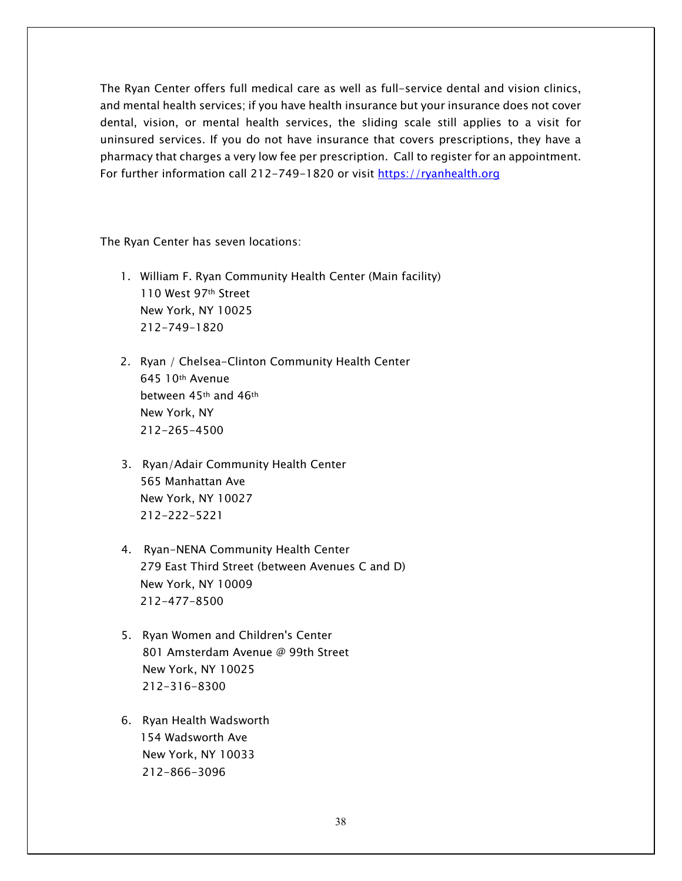The Ryan Center offers full medical care as well as full-service dental and vision clinics, and mental health services; if you have health insurance but your insurance does not cover dental, vision, or mental health services, the sliding scale still applies to a visit for uninsured services. If you do not have insurance that covers prescriptions, they have a pharmacy that charges a very low fee per prescription. Call to register for an appointment. For further information call 212-749-1820 or visit [https://ryanhealth.org](https://ryanhealth.org/)

The Ryan Center has seven locations:

- 1. William F. Ryan Community Health Center (Main facility) 110 West 97th Street New York, NY 10025 212-749-1820
- 2. Ryan / Chelsea-Clinton Community Health Center 645 10th Avenue between 45th and 46th New York, NY 212-265-4500
- 3. Ryan/Adair Community Health Center 565 Manhattan Ave New York, NY 10027 212-222-5221
- 4. Ryan-NENA Community Health Center 279 East Third Street (between Avenues C and D) New York, NY 10009 212-477-8500
- 5. Ryan Women and Children's Center 801 Amsterdam Avenue @ 99th Street New York, NY 10025 212-316-8300
- 6. Ryan Health Wadsworth 154 Wadsworth Ave New York, NY 10033 212-866-3096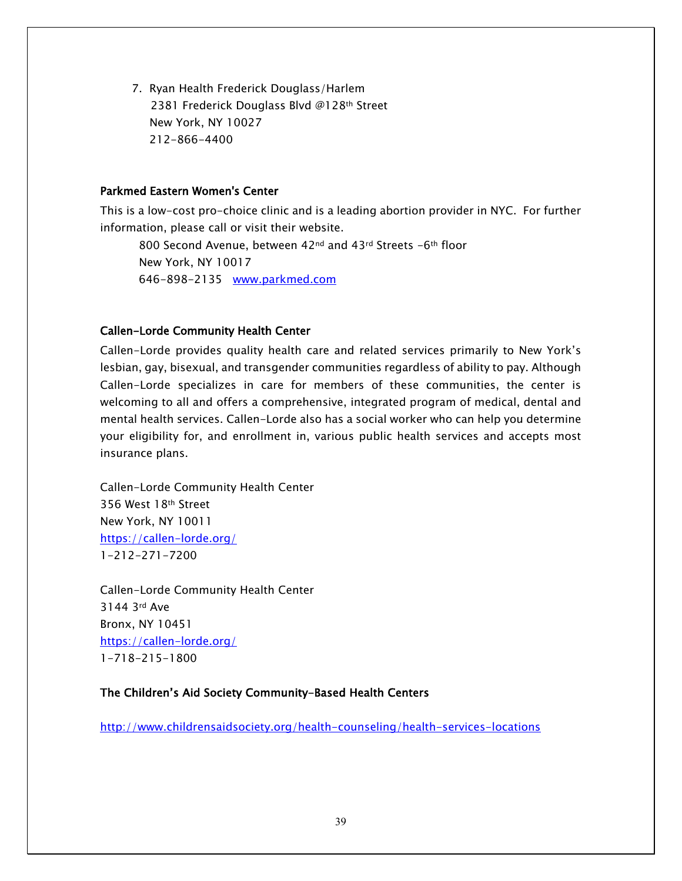7. Ryan Health Frederick Douglass/Harlem 2381 Frederick Douglass Blvd @128th Street New York, NY 10027 212-866-4400

#### Parkmed Eastern Women's Center

This is a low-cost pro-choice clinic and is a leading abortion provider in NYC. For further information, please call or visit their website.

800 Second Avenue, between 42<sup>nd</sup> and 43<sup>rd</sup> Streets -6<sup>th</sup> floor New York, NY 10017 646-898-2135 [www.parkmed.com](http://www.parkmed.com/)

#### Callen-Lorde Community Health Center

Callen-Lorde provides quality health care and related services primarily to New York's lesbian, gay, bisexual, and transgender communities regardless of ability to pay. Although Callen-Lorde specializes in care for members of these communities, the center is welcoming to all and offers a comprehensive, integrated program of medical, dental and mental health services. Callen-Lorde also has a social worker who can help you determine your eligibility for, and enrollment in, various public health services and accepts most insurance plans.

Callen-Lorde Community Health Center 356 West 18th Street New York, NY 10011 <https://callen-lorde.org/> 1-212-271-7200

Callen-Lorde Community Health Center 3144 3rd Ave Bronx, NY 10451 <https://callen-lorde.org/> 1-718-215-1800

#### The Children's Aid Society Community-Based Health Centers

<http://www.childrensaidsociety.org/health-counseling/health-services-locations>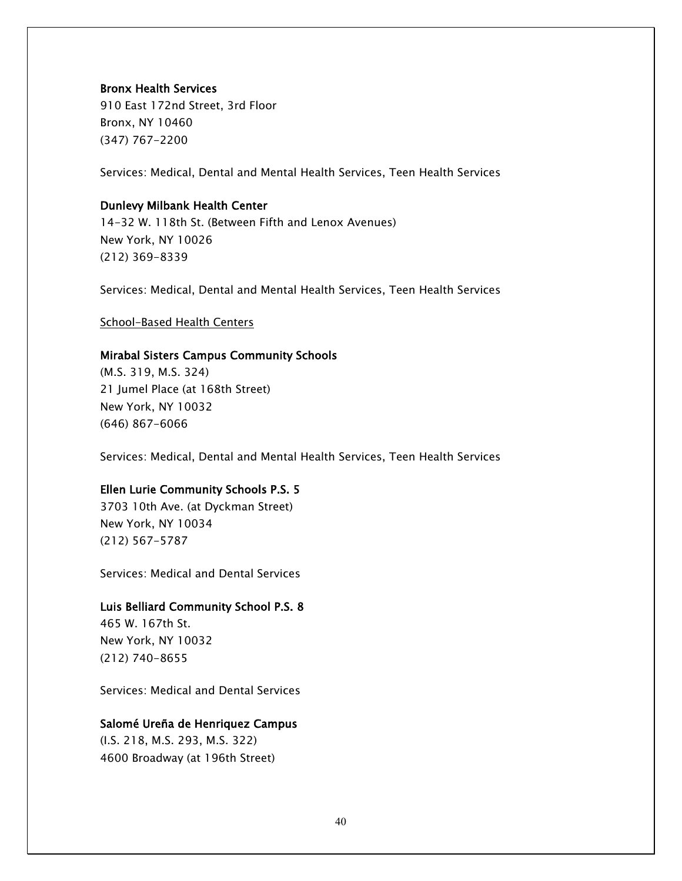#### Bronx Health Services

910 East 172nd Street, 3rd Floor Bronx, NY 10460 (347) 767-2200

Services: Medical, Dental and Mental Health Services, Teen Health Services

#### Dunlevy Milbank Health Center

14-32 W. 118th St. (Between Fifth and Lenox Avenues) New York, NY 10026 (212) 369-8339

Services: Medical, Dental and Mental Health Services, Teen Health Services

#### School-Based Health Centers

#### Mirabal Sisters Campus Community Schools

(M.S. 319, M.S. 324) 21 Jumel Place (at 168th Street) New York, NY 10032 (646) 867-6066

Services: Medical, Dental and Mental Health Services, Teen Health Services

#### Ellen Lurie Community Schools P.S. 5

3703 10th Ave. (at Dyckman Street) New York, NY 10034 (212) 567-5787

Services: Medical and Dental Services

#### Luis Belliard Community School P.S. 8

465 W. 167th St. New York, NY 10032 (212) 740-8655

Services: Medical and Dental Services

#### Salomé Ureña de Henriquez Campus

(I.S. 218, M.S. 293, M.S. 322) 4600 Broadway (at 196th Street)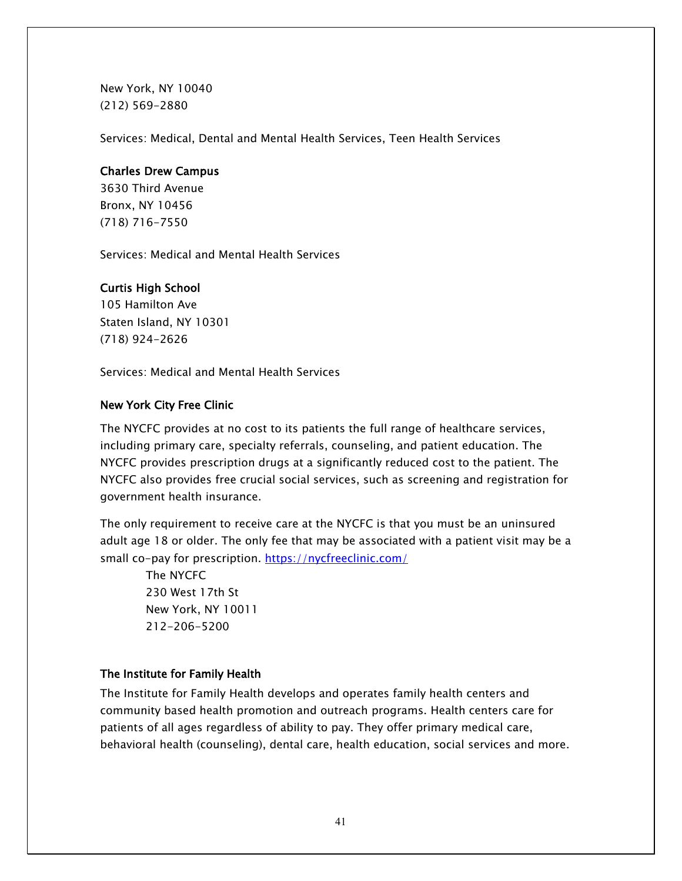New York, NY 10040 (212) 569-2880

Services: Medical, Dental and Mental Health Services, Teen Health Services

#### Charles Drew Campus

3630 Third Avenue Bronx, NY 10456 [\(718\) 716-7550](tel:718.716.7550)

Services: Medical and Mental Health Services

#### Curtis High School

105 Hamilton Ave Staten Island, NY 10301 (718) 924-2626

Services: Medical and Mental Health Services

#### New York City Free Clinic

The NYCFC provides at no cost to its patients the full range of healthcare services, including primary care, specialty referrals, counseling, and patient education. The NYCFC provides prescription drugs at a significantly reduced cost to the patient. The NYCFC also provides free crucial social services, such as screening and registration for government health insurance.

The only requirement to receive care at the NYCFC is that you must be an uninsured adult age 18 or older. The only fee that may be associated with a patient visit may be a small co-pay for prescription.<https://nycfreeclinic.com/>

 The NYCFC 230 West 17th St New York, NY 10011 212-206-5200

#### The Institute for Family Health

The Institute for Family Health develops and operates family health centers and community based health promotion and outreach programs. Health centers care for patients of all ages regardless of ability to pay. They offer primary medical care, behavioral health (counseling), dental care, health education, social services and more.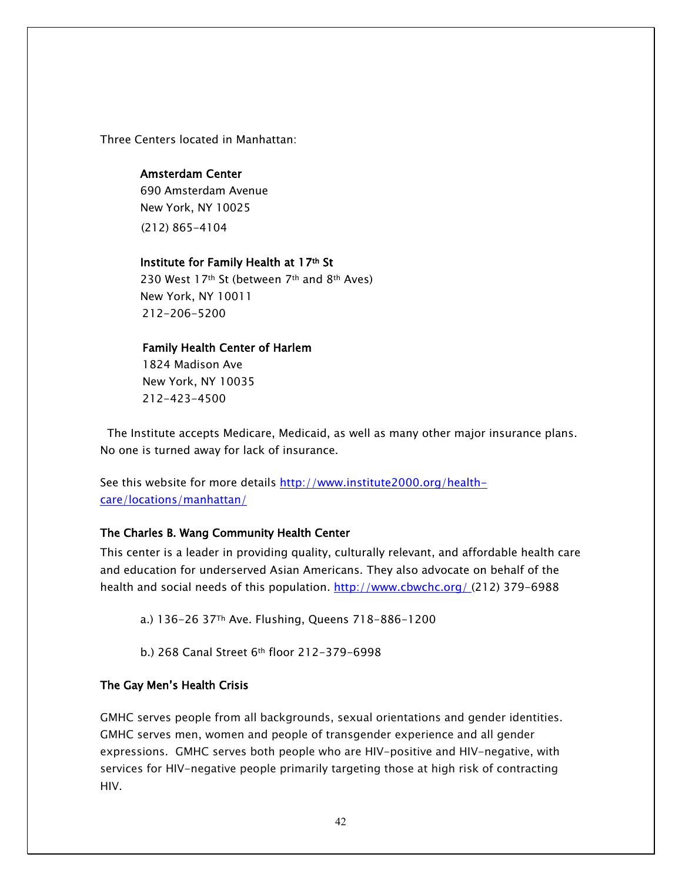Three Centers located in Manhattan:

#### Amsterdam Center

690 Amsterdam Avenue New York, NY 10025 (212) 865-4104

#### Institute for Family Health at 17th St

230 West 17th St (between 7th and 8th Aves) New York, NY 10011 212-206-5200

#### Family Health Center of Harlem

 1824 Madison Ave New York, NY 10035 212-423-4500

 The Institute accepts Medicare, Medicaid, as well as many other major insurance plans. No one is turned away for lack of insurance.

See this website for more details [http://www.institute2000.org/health](http://www.institute2000.org/health-care/locations/manhattan/)[care/locations/manhattan/](http://www.institute2000.org/health-care/locations/manhattan/)

#### The Charles B. Wang Community Health Center

This center is a leader in providing quality, culturally relevant, and affordable health care and education for underserved Asian Americans. They also advocate on behalf of the health and social needs of this population.<http://www.cbwchc.org/> (212) 379-6988

a.) 136-26 37Th Ave. Flushing, Queens 718-886-1200

b.) 268 Canal Street 6th floor 212-379-6998

#### The Gay Men's Health Crisis

GMHC serves people from all backgrounds, sexual orientations and gender identities. GMHC serves men, women and people of transgender experience and all gender expressions. GMHC serves both people who are HIV-positive and HIV-negative, with services for HIV-negative people primarily targeting those at high risk of contracting HIV.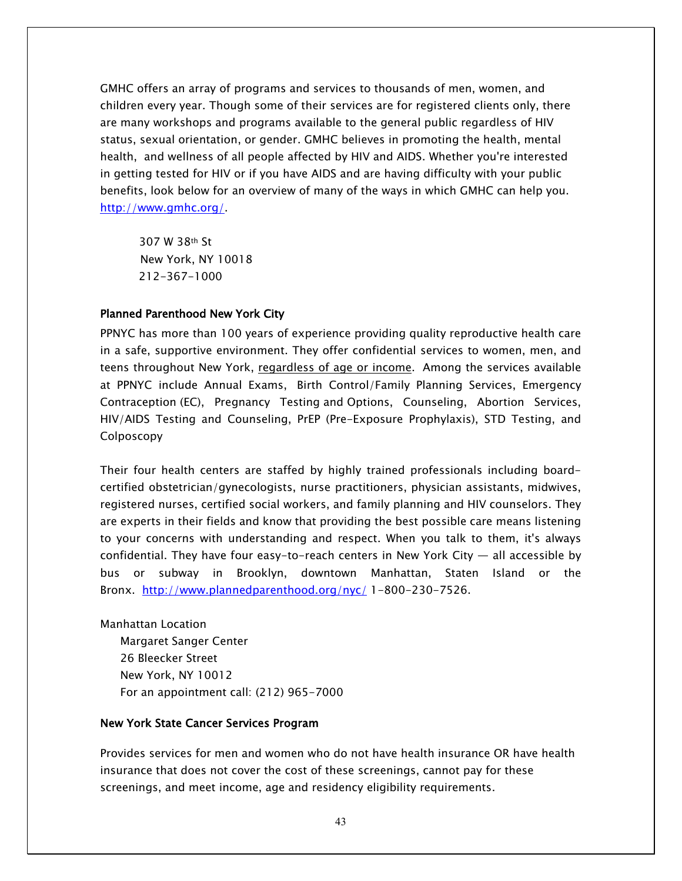GMHC offers an array of programs and services to thousands of men, women, and children every year. Though some of their services are for registered clients only, there are many workshops and programs available to the general public regardless of HIV status, sexual orientation, or gender. GMHC believes in promoting the health, mental health, and wellness of all people affected by HIV and AIDS. Whether you're interested in getting tested for HIV or if you have AIDS and are having difficulty with your public benefits, look below for an overview of many of the ways in which GMHC can help you. [http://www.gmhc.org/.](http://www.gmhc.org/)

 307 W 38th St New York, NY 10018 212-367-1000

#### Planned Parenthood New York City

PPNYC has more than 100 years of experience providing quality reproductive health care in a safe, supportive environment. They offer confidential services to women, men, and teens throughout New York, regardless of age or income. Among the services available at PPNYC include Annual Exams, Birth Control/Family Planning Services, Emergency Contraception (EC), Pregnancy Testing and Options, Counseling, Abortion Services, HIV/AIDS Testing and Counseling, PrEP (Pre-Exposure Prophylaxis), STD Testing, and Colposcopy

Their four health centers are staffed by highly trained professionals including boardcertified obstetrician/gynecologists, nurse practitioners, physician assistants, midwives, registered nurses, certified social workers, and family planning and HIV counselors. They are experts in their fields and know that providing the best possible care means listening to your concerns with understanding and respect. When you talk to them, it's always confidential. They have four easy-to-reach centers in New York City  $-$  all accessible by bus or subway in Brooklyn, downtown Manhattan, Staten Island or the Bronx. <http://www.plannedparenthood.org/nyc/> 1-800-230-7526.

Manhattan Location Margaret Sanger Center 26 Bleecker Street New York, NY 10012 For an appointment call: (212) 965-7000

#### New York State Cancer Services Program

Provides services for men and women who do not have health insurance OR have health insurance that does not cover the cost of these screenings, cannot pay for these screenings, and meet income, age and residency eligibility requirements.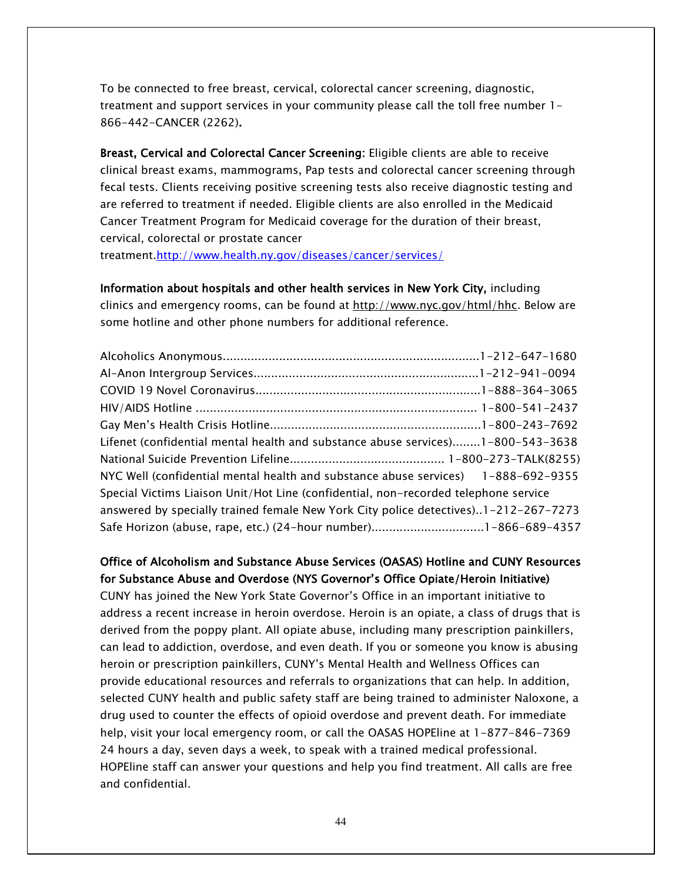To be connected to free breast, cervical, colorectal cancer screening, diagnostic, treatment and support services in your community please call the toll free number 1- 866-442-CANCER (2262).

Breast, Cervical and Colorectal Cancer Screening: Eligible clients are able to receive clinical breast exams, mammograms, Pap tests and colorectal cancer screening through fecal tests. Clients receiving positive screening tests also receive diagnostic testing and are referred to treatment if needed. Eligible clients are also enrolled in the Medicaid Cancer Treatment Program for Medicaid coverage for the duration of their breast, cervical, colorectal or prostate cancer

treatment[.http://www.health.ny.gov/diseases/cancer/services/](http://www.health.ny.gov/diseases/cancer/services/)

Information about hospitals and other health services in New York City, including clinics and emergency rooms, can be found at [http://www.nyc.gov/html/hhc.](http://www.nyc.gov/html/hhc) Below are some hotline and other phone numbers for additional reference.

| Lifenet (confidential mental health and substance abuse services)1-800-543-3638     |  |
|-------------------------------------------------------------------------------------|--|
|                                                                                     |  |
| NYC Well (confidential mental health and substance abuse services) 1-888-692-9355   |  |
| Special Victims Liaison Unit/Hot Line (confidential, non-recorded telephone service |  |
| answered by specially trained female New York City police detectives)1-212-267-7273 |  |
|                                                                                     |  |

#### Office of Alcoholism and Substance Abuse Services (OASAS) Hotline and CUNY Resources for Substance Abuse and Overdose (NYS Governor's Office Opiate/Heroin Initiative)

CUNY has joined the New York State Governor's Office in an important initiative to address a recent increase in heroin overdose. Heroin is an opiate, a class of drugs that is derived from the poppy plant. All opiate abuse, including many prescription painkillers, can lead to addiction, overdose, and even death. If you or someone you know is abusing heroin or prescription painkillers, CUNY's Mental Health and Wellness Offices can provide educational resources and referrals to organizations that can help. In addition, selected CUNY health and public safety staff are being trained to administer Naloxone, a drug used to counter the effects of opioid overdose and prevent death. For immediate help, visit your local emergency room, or call the OASAS HOPEline at 1-877-846-7369 24 hours a day, seven days a week, to speak with a trained medical professional. HOPEline staff can answer your questions and help you find treatment. All calls are free and confidential.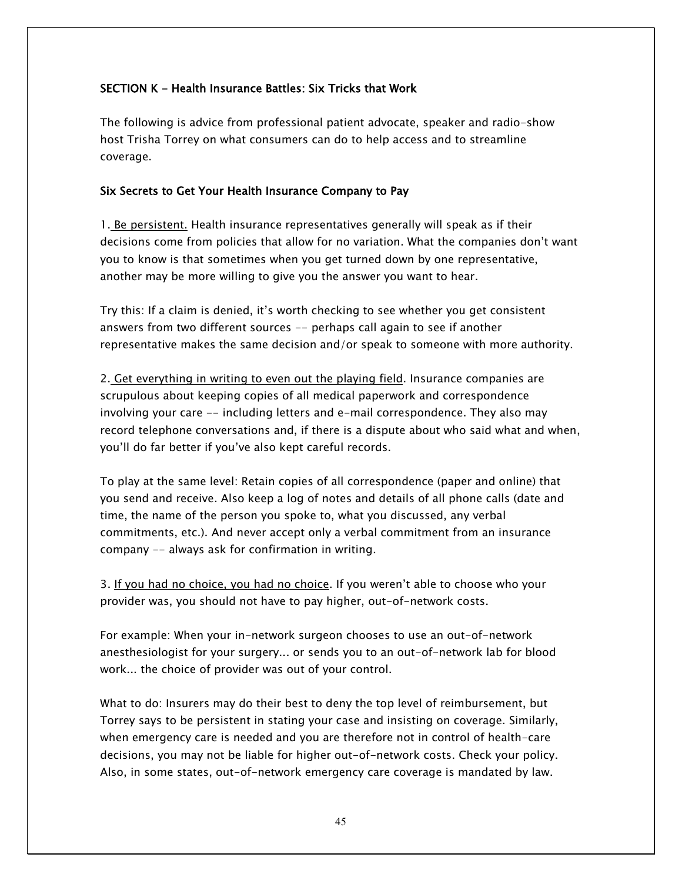#### SECTION K - Health Insurance Battles: Six Tricks that Work

The following is advice from professional patient advocate, speaker and radio-show host Trisha Torrey on what consumers can do to help access and to streamline coverage.

#### Six Secrets to Get Your Health Insurance Company to Pay

1. Be persistent. Health insurance representatives generally will speak as if their decisions come from policies that allow for no variation. What the companies don't want you to know is that sometimes when you get turned down by one representative, another may be more willing to give you the answer you want to hear.

Try this: If a claim is denied, it's worth checking to see whether you get consistent answers from two different sources -- perhaps call again to see if another representative makes the same decision and/or speak to someone with more authority.

2. Get everything in writing to even out the playing field. Insurance companies are scrupulous about keeping copies of all medical paperwork and correspondence involving your care -- including letters and e-mail correspondence. They also may record telephone conversations and, if there is a dispute about who said what and when, you'll do far better if you've also kept careful records.

To play at the same level: Retain copies of all correspondence (paper and online) that you send and receive. Also keep a log of notes and details of all phone calls (date and time, the name of the person you spoke to, what you discussed, any verbal commitments, etc.). And never accept only a verbal commitment from an insurance company -- always ask for confirmation in writing.

3. If you had no choice, you had no choice. If you weren't able to choose who your provider was, you should not have to pay higher, out-of-network costs.

For example: When your in-network surgeon chooses to use an out-of-network anesthesiologist for your surgery... or sends you to an out-of-network lab for blood work... the choice of provider was out of your control.

What to do: Insurers may do their best to deny the top level of reimbursement, but Torrey says to be persistent in stating your case and insisting on coverage. Similarly, when emergency care is needed and you are therefore not in control of health-care decisions, you may not be liable for higher out-of-network costs. Check your policy. Also, in some states, out-of-network emergency care coverage is mandated by law.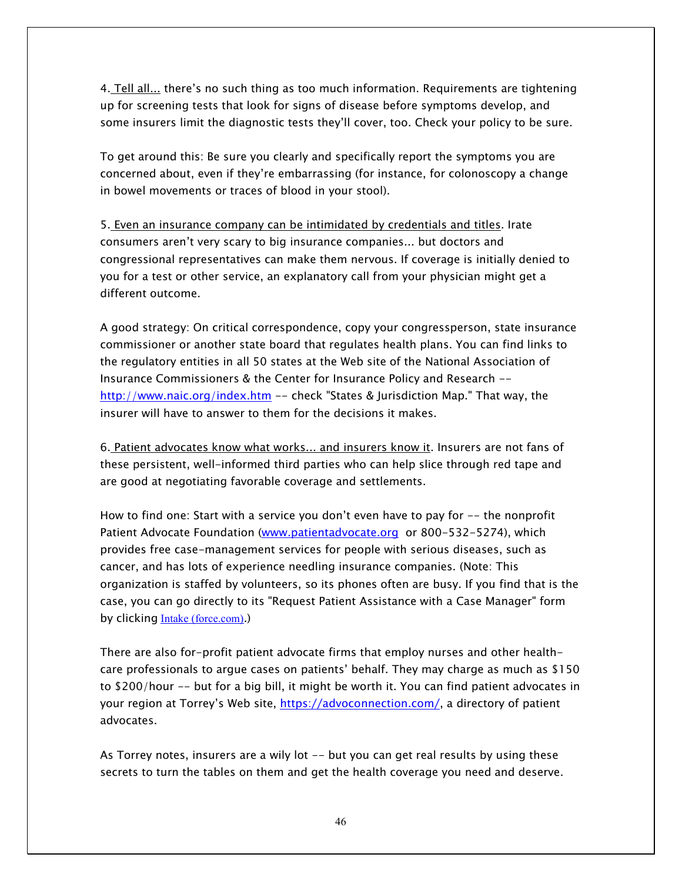4. Tell all... there's no such thing as too much information. Requirements are tightening up for screening tests that look for signs of disease before symptoms develop, and some insurers limit the diagnostic tests they'll cover, too. Check your policy to be sure.

To get around this: Be sure you clearly and specifically report the symptoms you are concerned about, even if they're embarrassing (for instance, for colonoscopy a change in bowel movements or traces of blood in your stool).

5. Even an insurance company can be intimidated by credentials and titles. Irate consumers aren't very scary to big insurance companies... but doctors and congressional representatives can make them nervous. If coverage is initially denied to you for a test or other service, an explanatory call from your physician might get a different outcome.

A good strategy: On critical correspondence, copy your congressperson, state insurance commissioner or another state board that regulates health plans. You can find links to the regulatory entities in all 50 states at the Web site of the National Association of Insurance Commissioners & the Center for Insurance Policy and Research - <http://www.naic.org/index.htm> -- check "States & Jurisdiction Map." That way, the insurer will have to answer to them for the decisions it makes.

6. Patient advocates know what works... and insurers know it. Insurers are not fans of these persistent, well-informed third parties who can help slice through red tape and are good at negotiating favorable coverage and settlements.

How to find one: Start with a service you don't even have to pay for -- the nonprofit Patient Advocate Foundation [\(www.patientadvocate.org](http://www.patientadvocate.org/) or 800-532-5274), which provides free case-management services for people with serious diseases, such as cancer, and has lots of experience needling insurance companies. (Note: This organization is staffed by volunteers, so its phones often are busy. If you find that is the case, you can go directly to its "Request Patient Assistance with a Case Manager" form by clicking **Intake** (force.com).)

There are also for-profit patient advocate firms that employ nurses and other healthcare professionals to argue cases on patients' behalf. They may charge as much as \$150 to \$200/hour -- but for a big bill, it might be worth it. You can find patient advocates in your region at Torrey's Web site, <https://advoconnection.com/>, a directory of patient advocates.

As Torrey notes, insurers are a wily lot -- but you can get real results by using these secrets to turn the tables on them and get the health coverage you need and deserve.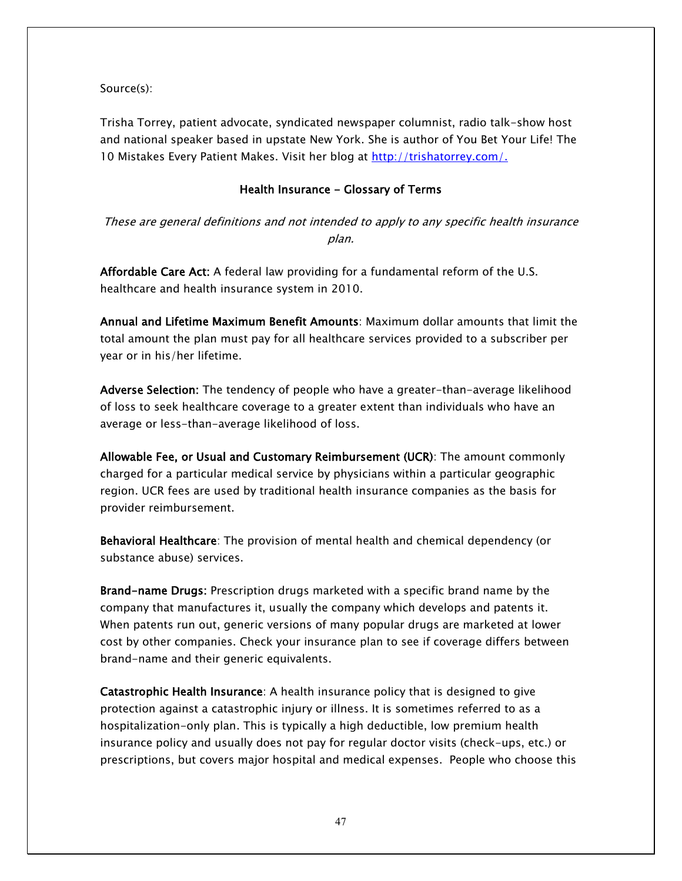Source(s):

Trisha Torrey, patient advocate, syndicated newspaper columnist, radio talk-show host and national speaker based in upstate New York. She is author of You Bet Your Life! The 10 Mistakes Every Patient Makes. Visit her blog at [http://trishatorrey.com/.](http://trishatorrey.com/)

#### Health Insurance - Glossary of Terms

These are general definitions and not intended to apply to any specific health insurance plan.

Affordable Care Act: A federal law providing for a fundamental reform of the U.S. healthcare and health insurance system in 2010.

Annual and Lifetime Maximum Benefit Amounts: Maximum dollar amounts that limit the total amount the plan must pay for all healthcare services provided to a subscriber per year or in his/her lifetime.

Adverse Selection: The tendency of people who have a greater-than-average likelihood of loss to seek healthcare coverage to a greater extent than individuals who have an average or less-than-average likelihood of loss.

Allowable Fee, or Usual and Customary Reimbursement (UCR): The amount commonly charged for a particular medical service by physicians within a particular geographic region. UCR fees are used by traditional health insurance companies as the basis for provider reimbursement.

Behavioral Healthcare: The provision of mental health and chemical dependency (or substance abuse) services.

[Brand-name](http://www.healthinsurance.org/glossary/brand-name-drug/) Drugs: Prescription drugs marketed with a specific brand name by the company that manufactures it, usually the company which develops and patents it. When patents run out, generic versions of many popular drugs are marketed at lower cost by other companies. Check your insurance plan to see if coverage differs between brand-name and their generic equivalents.

Catastrophic Health Insurance: A health insurance policy that is designed to give protection against a catastrophic injury or illness. It is sometimes referred to as a hospitalization-only plan. This is typically a high deductible, low premium health insurance policy and usually does not pay for regular doctor visits (check-ups, etc.) or prescriptions, but covers major hospital and medical expenses. People who choose this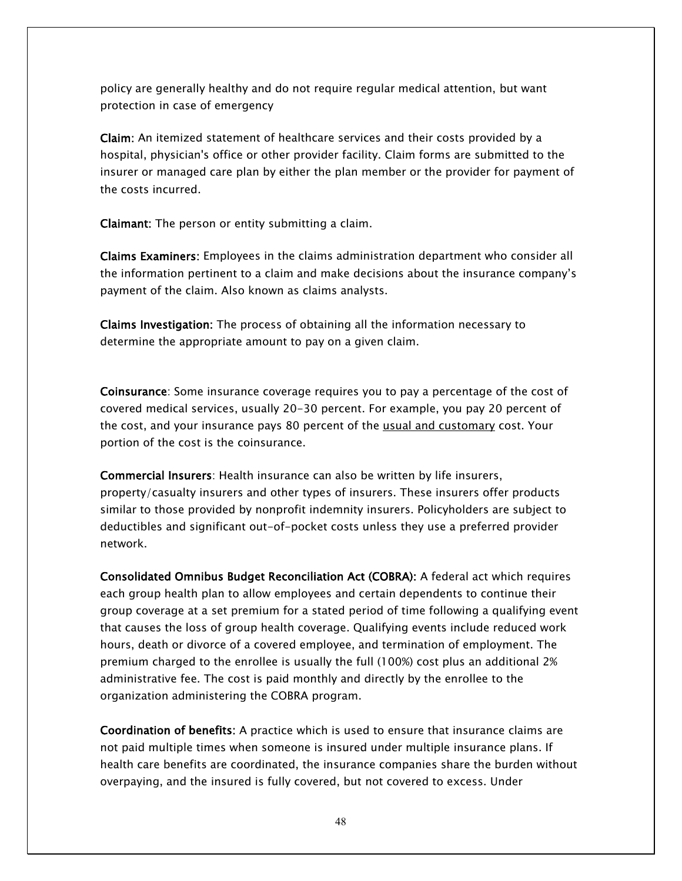policy are generally healthy and do not require regular medical attention, but want protection in case of emergency

Claim: An itemized statement of healthcare services and their costs provided by a hospital, physician's office or other provider facility. Claim forms are submitted to the insurer or managed care plan by either the plan member or the provider for payment of the costs incurred.

Claimant: The person or entity submitting a claim.

Claims Examiners: Employees in the claims administration department who consider all the information pertinent to a claim and make decisions about the insurance company's payment of the claim. Also known as claims analysts.

Claims Investigation: The process of obtaining all the information necessary to determine the appropriate amount to pay on a given claim.

Coinsurance: Some insurance coverage requires you to pay a percentage of the cost of covered medical services, usually 20-30 percent. For example, you pay 20 percent of the cost, and your insurance pays 80 percent of the usual and customary cost. Your portion of the cost is the coinsurance.

Commercial Insurers: Health insurance can also be written by life insurers, property/casualty insurers and other types of insurers. These insurers offer products similar to those provided by nonprofit indemnity insurers. Policyholders are subject to deductibles and significant out-of-pocket costs unless they use a preferred provider network.

Consolidated Omnibus Budget Reconciliation Act (COBRA): A federal act which requires each group health plan to allow employees and certain dependents to continue their group coverage at a set premium for a stated period of time following a qualifying event that causes the loss of group health coverage. Qualifying events include reduced work hours, death or divorce of a covered employee, and termination of employment. The premium charged to the enrollee is usually the full (100%) cost plus an additional 2% administrative fee. The cost is paid monthly and directly by the enrollee to the organization administering the COBRA program.

Coordination of benefits: A practice which is used to ensure that insurance claims are not paid multiple times when someone is insured under multiple insurance plans. If health care benefits are coordinated, the insurance companies share the burden without overpaying, and the insured is fully covered, but not covered to excess. Under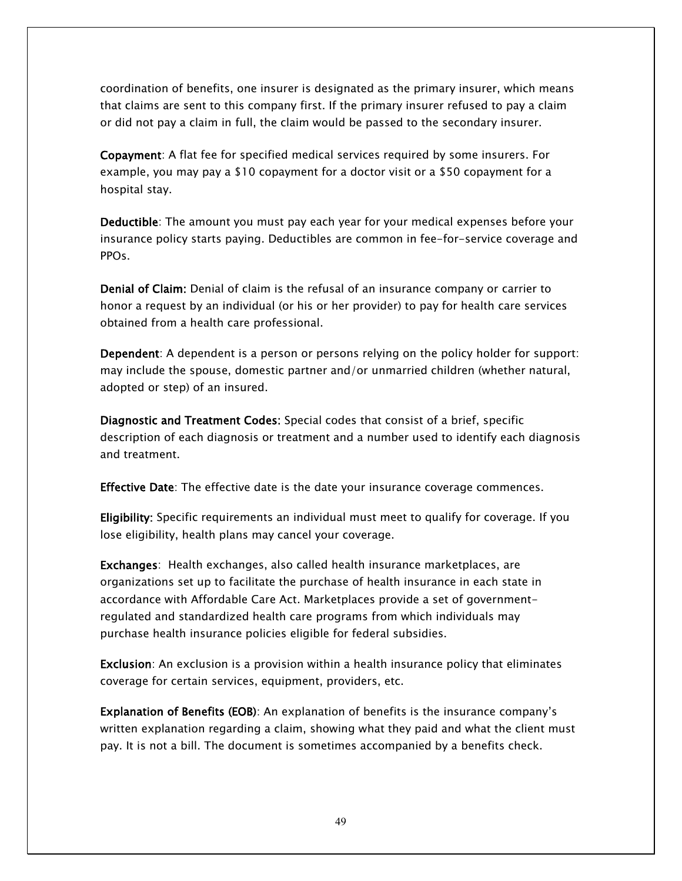coordination of benefits, one insurer is designated as the primary insurer, which means that claims are sent to this company first. If the primary insurer refused to pay a claim or did not pay a claim in full, the claim would be passed to the secondary insurer.

Copayment: A flat fee for specified medical services required by some insurers. For example, you may pay a \$10 copayment for a doctor visit or a \$50 copayment for a hospital stay.

Deductible: The amount you must pay each year for your medical expenses before your insurance policy starts paying. Deductibles are common in fee-for-service coverage and PPOs.

Denial of Claim: Denial of claim is the refusal of an insurance company or carrier to honor a request by an individual (or his or her provider) to pay for health care services obtained from a health care professional.

Dependent: A dependent is a person or persons relying on the policy holder for support: may include the spouse, domestic partner and/or unmarried children (whether natural, adopted or step) of an insured.

Diagnostic and Treatment Codes: Special codes that consist of a brief, specific description of each diagnosis or treatment and a number used to identify each diagnosis and treatment.

**Effective Date**: The effective date is the date your insurance coverage commences.

Eligibility: Specific requirements an individual must meet to qualify for coverage. If you lose eligibility, health plans may cancel your coverage.

Exchanges: Health exchanges, also called health insurance marketplaces, are organizations set up to facilitate the purchase of health insurance in each state in accordance with Affordable Care Act. Marketplaces provide a set of governmentregulated and standardized health care programs from which individuals may purchase health insurance policies eligible for federal subsidies.

Exclusion: An exclusion is a provision within a health insurance policy that eliminates coverage for certain services, equipment, providers, etc.

Explanation of Benefits (EOB): An explanation of benefits is the insurance company's written explanation regarding a [claim,](http://www.healthinsurance.org/glossary/claim/) showing what they paid and what the client must pay. It is not a bill. The document is sometimes accompanied by a benefits check.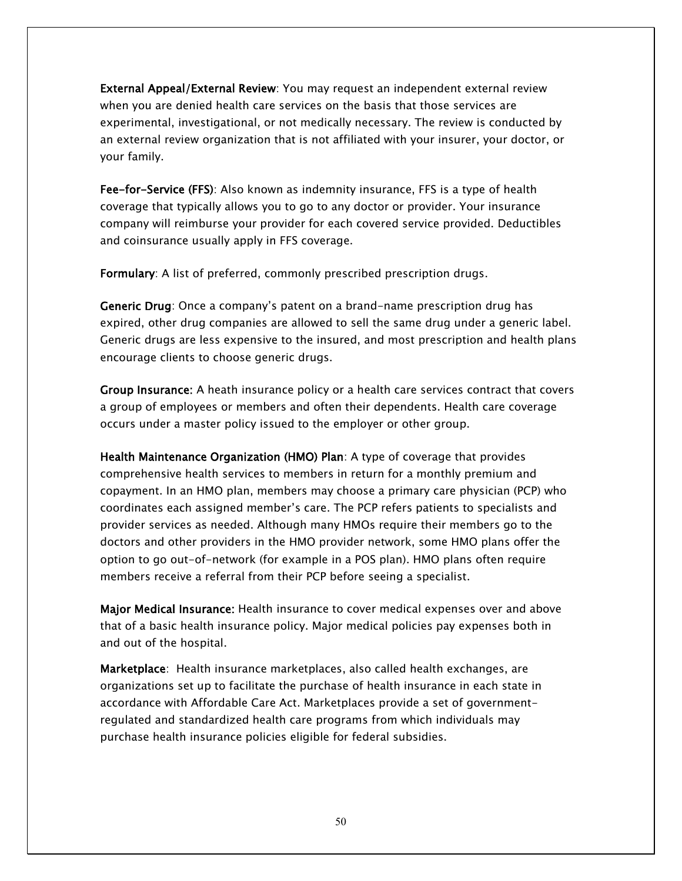External Appeal/External Review: You may request an independent external review when you are denied health care services on the basis that those services are experimental, investigational, or not medically necessary. The review is conducted by an external review organization that is not affiliated with your insurer, your doctor, or your family.

Fee-for-Service (FFS): Also known as indemnity insurance, FFS is a type of health coverage that typically allows you to go to any doctor or provider. Your insurance company will reimburse your provider for each covered service provided. Deductibles and coinsurance usually apply in FFS coverage.

Formulary: A list of preferred, commonly prescribed prescription drugs.

Generic Drug: Once a company's patent on a brand-name prescription drug has expired, other drug companies are allowed to sell the same drug under a generic label. Generic drugs are less expensive to the insured, and most prescription and health plans encourage clients to choose generic drugs.

Group Insurance: A heath insurance policy or a health care services contract that covers a group of employees or members and often their dependents. Health care coverage occurs under a master policy issued to the employer or other group.

Health Maintenance Organization (HMO) Plan: A type of coverage that provides comprehensive health services to members in return for a monthly premium and copayment. In an HMO plan, members may choose a primary care physician (PCP) who coordinates each assigned member's care. The PCP refers patients to specialists and provider services as needed. Although many HMOs require their members go to the doctors and other providers in the HMO provider network, some HMO plans offer the option to go out-of-network (for example in a POS plan). HMO plans often require members receive a referral from their PCP before seeing a specialist.

Major Medical Insurance: Health insurance to cover medical expenses over and above that of a basic health insurance policy. Major medical policies pay expenses both in and out of the hospital.

Marketplace: Health insurance marketplaces, also called health exchanges, are organizations set up to facilitate the purchase of health insurance in each state in accordance with Affordable Care Act. Marketplaces provide a set of governmentregulated and standardized health care programs from which individuals may purchase health insurance policies eligible for federal subsidies.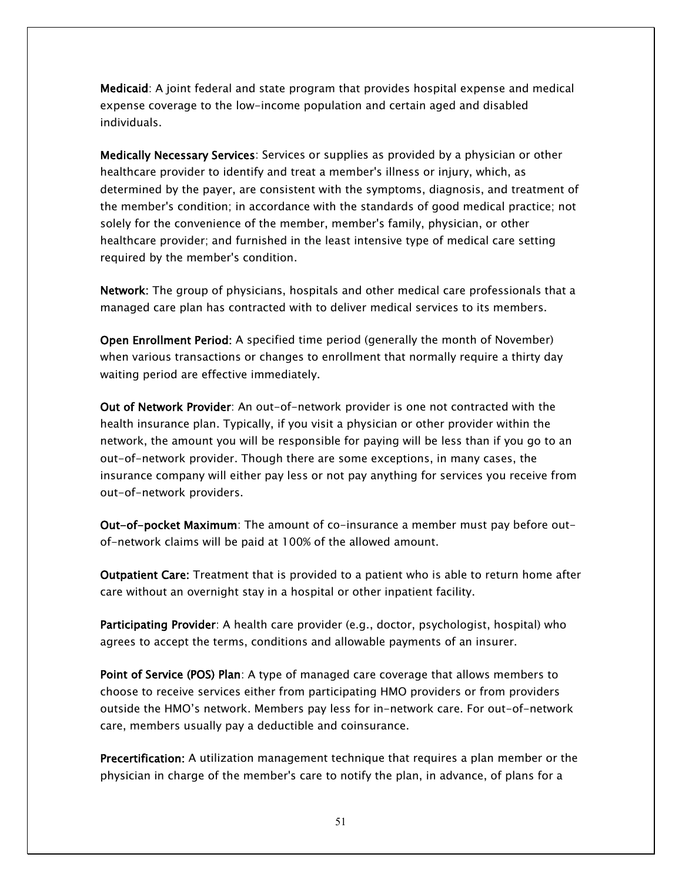Medicaid: A joint federal and state program that provides hospital expense and medical expense coverage to the low-income population and certain aged and disabled individuals.

Medically Necessary Services: Services or supplies as provided by a physician or other healthcare provider to identify and treat a member's illness or injury, which, as determined by the payer, are consistent with the symptoms, diagnosis, and treatment of the member's condition; in accordance with the standards of good medical practice; not solely for the convenience of the member, member's family, physician, or other healthcare provider; and furnished in the least intensive type of medical care setting required by the member's condition.

Network: The group of physicians, hospitals and other medical care professionals that a managed care plan has contracted with to deliver medical services to its members.

Open Enrollment Period: A specified time period (generally the month of November) when various transactions or changes to enrollment that normally require a thirty day waiting period are effective immediately.

Out of Network Provider: An out-of-network provider is one not contracted with the health insurance plan. Typically, if you visit a physician or other provider within the network, the amount you will be responsible for paying will be less than if you go to an out-of-network provider. Though there are some exceptions, in many cases, the insurance company will either pay less or not pay anything for services you receive from out-of-network providers.

Out-of-pocket Maximum: The amount of co-insurance a member must pay before outof-network claims will be paid at 100% of the allowed amount.

Outpatient Care: Treatment that is provided to a patient who is able to return home after care without an overnight stay in a hospital or other inpatient facility.

Participating Provider: A health care provider (e.g., doctor, psychologist, hospital) who agrees to accept the terms, conditions and allowable payments of an insurer.

Point of Service (POS) Plan: A type of managed care coverage that allows members to choose to receive services either from participating HMO providers or from providers outside the HMO's network. Members pay less for in-network care. For out-of-network care, members usually pay a deductible and coinsurance.

Precertification: A utilization management technique that requires a plan member or the physician in charge of the member's care to notify the plan, in advance, of plans for a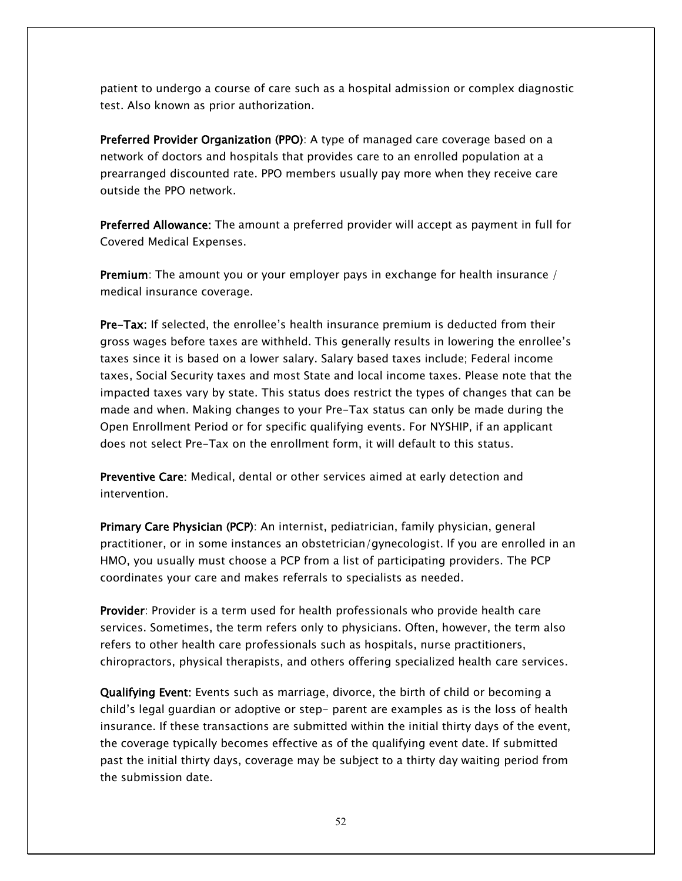patient to undergo a course of care such as a hospital admission or complex diagnostic test. Also known as prior authorization.

Preferred Provider Organization (PPO): A type of managed care coverage based on a network of doctors and hospitals that provides care to an enrolled population at a prearranged discounted rate. PPO members usually pay more when they receive care outside the PPO network.

Preferred Allowance: The amount a preferred provider will accept as payment in full for Covered Medical Expenses.

Premium: The amount you or your employer pays in exchange for health insurance / medical insurance coverage.

Pre-Tax: If selected, the enrollee's health insurance premium is deducted from their gross wages before taxes are withheld. This generally results in lowering the enrollee's taxes since it is based on a lower salary. Salary based taxes include; Federal income taxes, Social Security taxes and most State and local income taxes. Please note that the impacted taxes vary by state. This status does restrict the types of changes that can be made and when. Making changes to your Pre-Tax status can only be made during the Open Enrollment Period or for specific qualifying events. For NYSHIP, if an applicant does not select Pre-Tax on the enrollment form, it will default to this status.

Preventive Care: Medical, dental or other services aimed at early detection and intervention.

Primary Care Physician (PCP): An internist, pediatrician, family physician, general practitioner, or in some instances an obstetrician/gynecologist. If you are enrolled in an HMO, you usually must choose a PCP from a list of participating providers. The PCP coordinates your care and makes referrals to specialists as needed.

Provider: Provider is a term used for health professionals who provide health care services. Sometimes, the term refers only to physicians. Often, however, the term also refers to other health care professionals such as hospitals, nurse practitioners, chiropractors, physical therapists, and others offering specialized health care services.

Qualifying Event: Events such as marriage, divorce, the birth of child or becoming a child's legal guardian or adoptive or step- parent are examples as is the loss of health insurance. If these transactions are submitted within the initial thirty days of the event, the coverage typically becomes effective as of the qualifying event date. If submitted past the initial thirty days, coverage may be subject to a thirty day waiting period from the submission date.